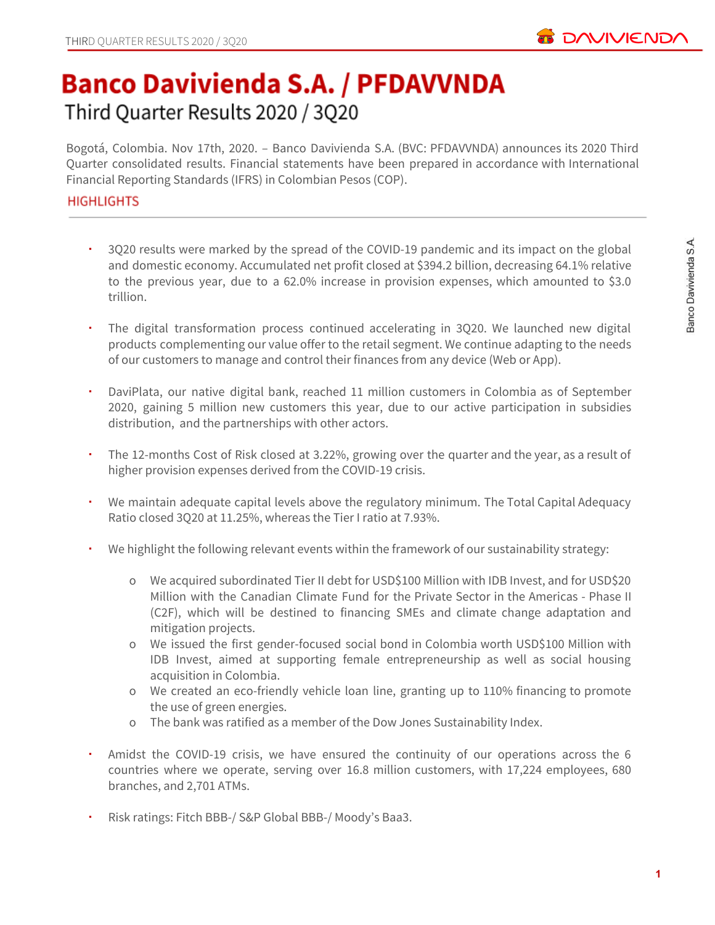

# **Banco Davivienda S.A. / PFDAVVNDA** Third Quarter Results 2020 / 3Q20

Bogotá, Colombia. Nov 17th, 2020. – Banco Davivienda S.A. (BVC: PFDAVVNDA) announces its 2020 Third Quarter consolidated results. Financial statements have been prepared in accordance with International Financial Reporting Standards (IFRS) in Colombian Pesos (COP).

# **HIGHLIGHTS**

- 3Q20 results were marked by the spread of the COVID-19 pandemic and its impact on the global and domestic economy. Accumulated net profit closed at \$394.2 billion, decreasing 64.1% relative to the previous year, due to a 62.0% increase in provision expenses, which amounted to \$3.0 trillion.
- The digital transformation process continued accelerating in 3Q20. We launched new digital products complementing our value offer to the retail segment. We continue adapting to the needs of our customers to manage and control their finances from any device (Web or App).
- DaviPlata, our native digital bank, reached 11 million customers in Colombia as of September 2020, gaining 5 million new customers this year, due to our active participation in subsidies distribution, and the partnerships with other actors.
- The 12-months Cost of Risk closed at 3.22%, growing over the quarter and the year, as a result of higher provision expenses derived from the COVID-19 crisis.
- We maintain adequate capital levels above the regulatory minimum. The Total Capital Adequacy Ratio closed 3Q20 at 11.25%, whereas the Tier I ratio at 7.93%.
- We highlight the following relevant events within the framework of our sustainability strategy:
	- o We acquired subordinated Tier II debt for USD\$100 Million with IDB Invest, and for USD\$20 Million with the Canadian Climate Fund for the Private Sector in the Americas - Phase II (C2F), which will be destined to financing SMEs and climate change adaptation and mitigation projects.
	- o We issued the first gender-focused social bond in Colombia worth USD\$100 Million with IDB Invest, aimed at supporting female entrepreneurship as well as social housing acquisition in Colombia.
	- o We created an eco-friendly vehicle loan line, granting up to 110% financing to promote the use of green energies.
	- o The bank was ratified as a member of the Dow Jones Sustainability Index.
- Amidst the COVID-19 crisis, we have ensured the continuity of our operations across the 6 countries where we operate, serving over 16.8 million customers, with 17,224 employees, 680 branches, and 2,701 ATMs.
- Risk ratings: Fitch BBB-/ S&P Global BBB-/ Moody's Baa3.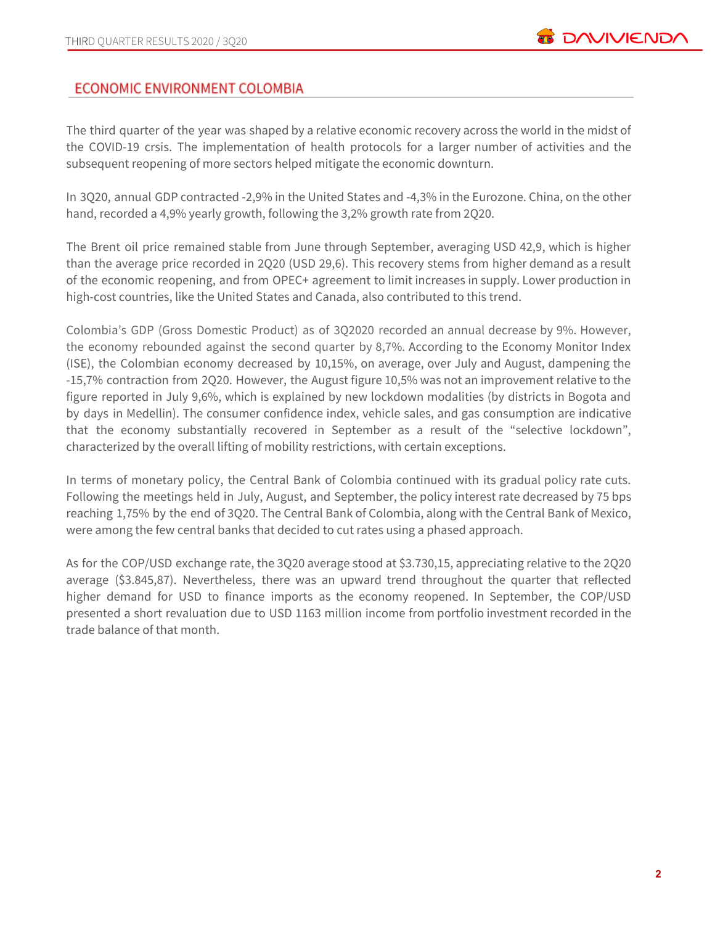# **ECONOMIC ENVIRONMENT COLOMBIA**

The third quarter of the year was shaped by a relative economic recovery across the world in the midst of the COVID-19 crsis. The implementation of health protocols for a larger number of activities and the subsequent reopening of more sectors helped mitigate the economic downturn.

In 3Q20, annual GDP contracted -2,9% in the United States and -4,3% in the Eurozone. China, on the other hand, recorded a 4,9% yearly growth, following the 3,2% growth rate from 2Q20.

The Brent oil price remained stable from June through September, averaging USD 42,9, which is higher than the average price recorded in 2Q20 (USD 29,6). This recovery stems from higher demand as a result of the economic reopening, and from OPEC+ agreement to limit increases in supply. Lower production in high-cost countries, like the United States and Canada, also contributed to this trend.

Colombia's GDP (Gross Domestic Product) as of 3Q2020 recorded an annual decrease by 9%. However, the economy rebounded against the second quarter by 8,7%. According to the Economy Monitor Index (ISE), the Colombian economy decreased by 10,15%, on average, over July and August, dampening the -15,7% contraction from 2Q20. However, the August figure 10,5% was not an improvement relative to the figure reported in July 9,6%, which is explained by new lockdown modalities (by districts in Bogota and by days in Medellin). The consumer confidence index, vehicle sales, and gas consumption are indicative that the economy substantially recovered in September as a result of the "selective lockdown", characterized by the overall lifting of mobility restrictions, with certain exceptions.

In terms of monetary policy, the Central Bank of Colombia continued with its gradual policy rate cuts. Following the meetings held in July, August, and September, the policy interest rate decreased by 75 bps reaching 1,75% by the end of 3Q20. The Central Bank of Colombia, along with the Central Bank of Mexico, were among the few central banks that decided to cut rates using a phased approach.

As for the COP/USD exchange rate, the 3Q20 average stood at \$3.730,15, appreciating relative to the 2Q20 average (\$3.845,87). Nevertheless, there was an upward trend throughout the quarter that reflected higher demand for USD to finance imports as the economy reopened. In September, the COP/USD presented a short revaluation due to USD 1163 million income from portfolio investment recorded in the trade balance of that month.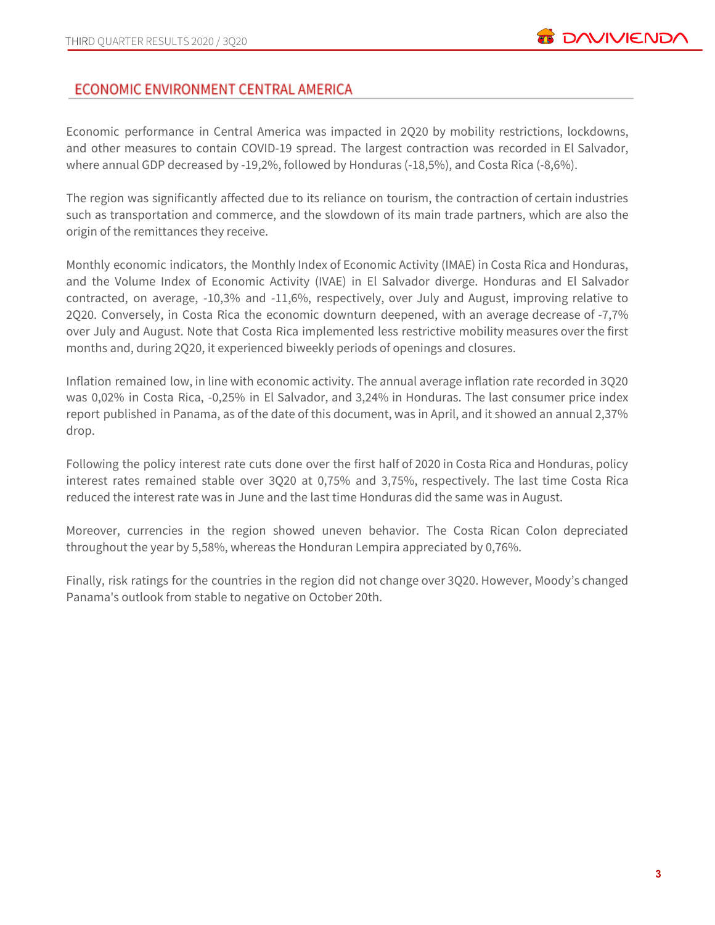# ECONOMIC ENVIRONMENT CENTRAL AMERICA

Economic performance in Central America was impacted in 2Q20 by mobility restrictions, lockdowns, and other measures to contain COVID-19 spread. The largest contraction was recorded in El Salvador, where annual GDP decreased by -19,2%, followed by Honduras (-18,5%), and Costa Rica (-8,6%).

The region was significantly affected due to its reliance on tourism, the contraction of certain industries such as transportation and commerce, and the slowdown of its main trade partners, which are also the origin of the remittances they receive.

Monthly economic indicators, the Monthly Index of Economic Activity (IMAE) in Costa Rica and Honduras, and the Volume Index of Economic Activity (IVAE) in El Salvador diverge. Honduras and El Salvador contracted, on average, -10,3% and -11,6%, respectively, over July and August, improving relative to 2Q20. Conversely, in Costa Rica the economic downturn deepened, with an average decrease of -7,7% over July and August. Note that Costa Rica implemented less restrictive mobility measures over the first months and, during 2Q20, it experienced biweekly periods of openings and closures.

Inflation remained low, in line with economic activity. The annual average inflation rate recorded in 3Q20 was 0,02% in Costa Rica, -0,25% in El Salvador, and 3,24% in Honduras. The last consumer price index report published in Panama, as of the date of this document, was in April, and it showed an annual 2,37% drop.

Following the policy interest rate cuts done over the first half of 2020 in Costa Rica and Honduras, policy interest rates remained stable over 3Q20 at 0,75% and 3,75%, respectively. The last time Costa Rica reduced the interest rate was in June and the last time Honduras did the same was in August.

Moreover, currencies in the region showed uneven behavior. The Costa Rican Colon depreciated throughout the year by 5,58%, whereas the Honduran Lempira appreciated by 0,76%.

Finally, risk ratings for the countries in the region did not change over 3Q20. However, Moody's changed Panama's outlook from stable to negative on October 20th.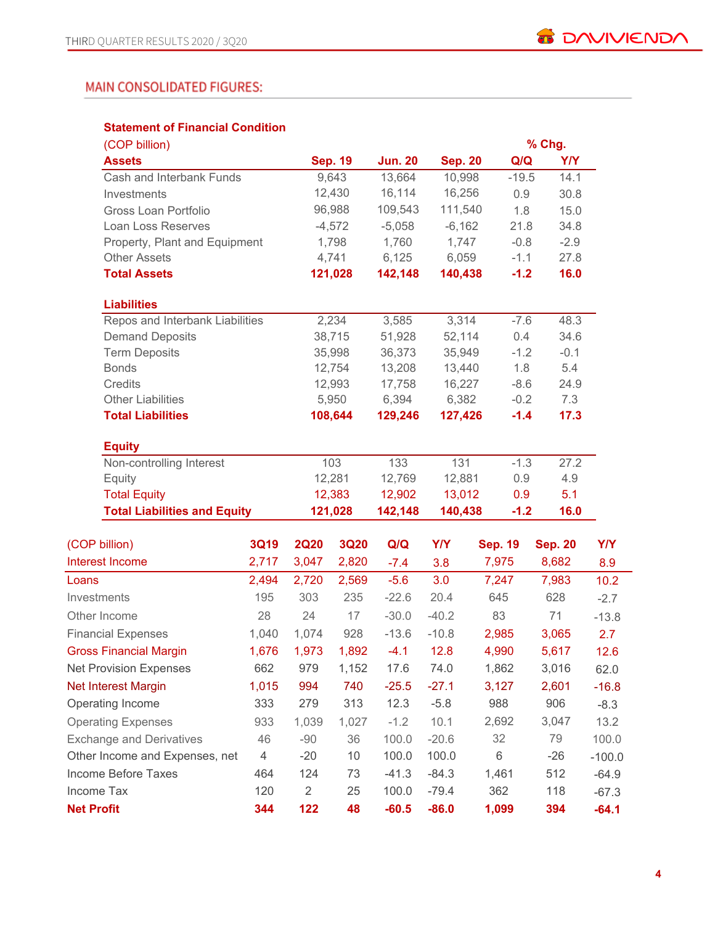# MAIN CONSOLIDATED FIGURES:

### **Statement of Financial Condition**

| (COP billion)                       |                |                |                |                |                |                | % Chg.         |            |  |
|-------------------------------------|----------------|----------------|----------------|----------------|----------------|----------------|----------------|------------|--|
| <b>Assets</b>                       |                |                | <b>Sep. 19</b> | <b>Jun. 20</b> | <b>Sep. 20</b> | Q/Q            | <b>Y/Y</b>     |            |  |
| Cash and Interbank Funds            |                |                | 9,643          | 13,664         | 10,998         | $-19.5$        | 14.1           |            |  |
| Investments                         |                |                | 12,430         | 16,114         | 16,256         | 0.9            | 30.8           |            |  |
| Gross Loan Portfolio                |                |                | 96,988         | 109,543        | 111,540        | 1.8            | 15.0           |            |  |
| Loan Loss Reserves                  |                |                | $-4,572$       | $-5,058$       | $-6,162$       | 21.8           | 34.8           |            |  |
| Property, Plant and Equipment       |                |                | 1,798          | 1,760          | 1,747          | $-0.8$         | $-2.9$         |            |  |
| <b>Other Assets</b>                 |                |                | 4,741          | 6,125          | 6,059          | $-1.1$         | 27.8           |            |  |
| <b>Total Assets</b>                 |                |                | 121,028        | 142,148        | 140,438        | $-1.2$         | 16.0           |            |  |
| <b>Liabilities</b>                  |                |                |                |                |                |                |                |            |  |
| Repos and Interbank Liabilities     |                |                | 2,234          | 3,585          | 3,314          | $-7.6$         | 48.3           |            |  |
| <b>Demand Deposits</b>              |                |                | 38,715         | 51,928         | 52,114         | 0.4            | 34.6           |            |  |
| <b>Term Deposits</b>                |                |                | 35,998         | 36,373         | 35,949         | $-1.2$         | $-0.1$         |            |  |
| <b>Bonds</b>                        |                |                | 12,754         | 13,208         | 13,440         | 1.8            | 5.4            |            |  |
| Credits                             |                |                | 12,993         | 17,758         | 16,227         | $-8.6$         | 24.9           |            |  |
| <b>Other Liabilities</b>            |                |                | 5,950          | 6,394          | 6,382          | $-0.2$         | 7.3            |            |  |
| <b>Total Liabilities</b>            |                |                | 108,644        | 129,246        | 127,426        | $-1.4$         | 17.3           |            |  |
| <b>Equity</b>                       |                |                |                |                |                |                |                |            |  |
| Non-controlling Interest            |                |                | 103            | 133            | 131            | $-1.3$         | 27.2           |            |  |
| Equity                              |                |                | 12,281         | 12,769         | 12,881         | 0.9            | 4.9            |            |  |
| <b>Total Equity</b>                 |                |                | 12,383         | 12,902         | 13,012         | 0.9            | 5.1            |            |  |
| <b>Total Liabilities and Equity</b> |                |                | 121,028        | 142,148        | 140,438        | $-1.2$         | 16.0           |            |  |
| (COP billion)                       | <b>3Q19</b>    | <b>2Q20</b>    | <b>3Q20</b>    | Q/Q            | <b>Y/Y</b>     | <b>Sep. 19</b> | <b>Sep. 20</b> | <b>Y/Y</b> |  |
| <b>Interest Income</b>              | 2,717          | 3,047          | 2,820          | $-7.4$         | 3.8            | 7,975          | 8,682          | 8.9        |  |
| Loans                               | 2,494          | 2,720          | 2,569          | $-5.6$         | 3.0            | 7,247          | 7,983          | 10.2       |  |
| Investments                         | 195            | 303            | 235            | $-22.6$        | 20.4           | 645            | 628            | $-2.7$     |  |
| Other Income                        | 28             | 24             | 17             | $-30.0$        | $-40.2$        | 83             | 71             | $-13.8$    |  |
| <b>Financial Expenses</b>           | 1,040          | 1,074          | 928            | $-13.6$        | $-10.8$        | 2,985          | 3,065          | 2.7        |  |
| <b>Gross Financial Margin</b>       | 1,676          | 1,973          | 1,892          | $-4.1$         | 12.8           | 4,990          | 5,617          | 12.6       |  |
| <b>Net Provision Expenses</b>       | 662            | 979            | 1,152          | 17.6           | 74.0           | 1,862          | 3,016          | 62.0       |  |
| <b>Net Interest Margin</b>          | 1,015          | 994            | 740            | $-25.5$        | $-27.1$        | 3,127          | 2,601          | $-16.8$    |  |
| Operating Income                    | 333            | 279            | 313            | 12.3           | $-5.8$         | 988            | 906            | $-8.3$     |  |
| <b>Operating Expenses</b>           | 933            | 1,039          | 1,027          | $-1.2$         | 10.1           | 2,692          | 3,047          | 13.2       |  |
| <b>Exchange and Derivatives</b>     | 46             | $-90$          | 36             | 100.0          | $-20.6$        | 32             | 79             | 100.0      |  |
| Other Income and Expenses, net      | $\overline{4}$ | $-20$          | 10             | 100.0          | 100.0          | 6              | $-26$          | $-100.0$   |  |
| <b>Income Before Taxes</b>          | 464            | 124            | 73             | $-41.3$        | $-84.3$        | 1,461          | 512            | $-64.9$    |  |
| Income Tax                          | 120            | $\overline{2}$ | 25             | 100.0          | $-79.4$        | 362            | 118            | $-67.3$    |  |
| <b>Net Profit</b>                   | 344            | 122            | 48             | $-60.5$        | $-86.0$        | 1,099          | 394            | $-64.1$    |  |
|                                     |                |                |                |                |                |                |                |            |  |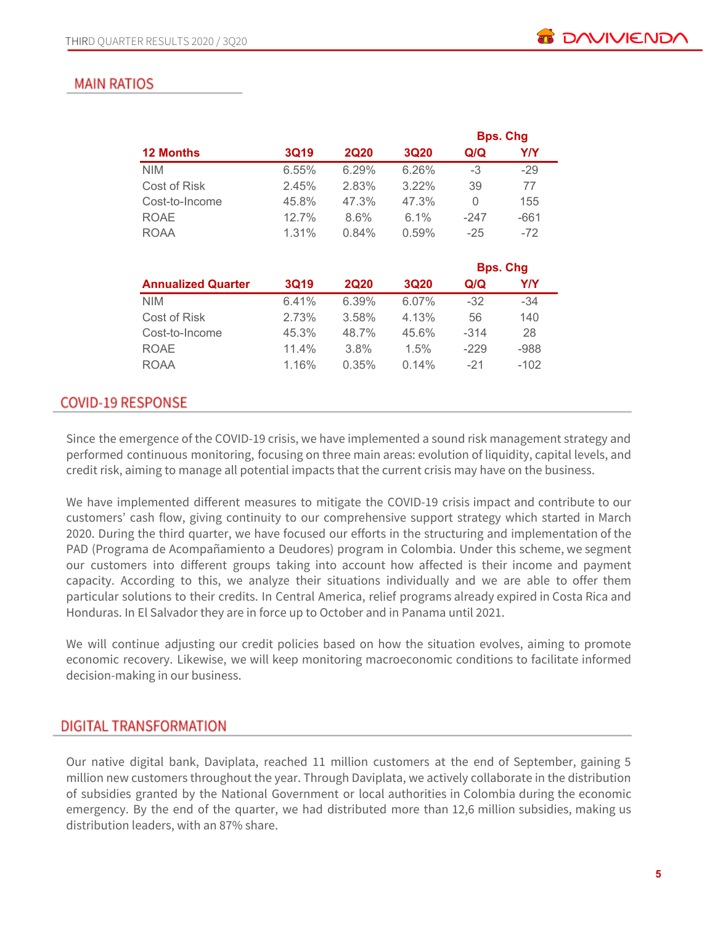**Bps. Chg**

# **MAIN RATIOS**

|             |             |             |        | <b>Bps. Ung</b> |
|-------------|-------------|-------------|--------|-----------------|
| <b>3Q19</b> | <b>2Q20</b> | <b>3Q20</b> | Q/Q    | <b>Y/Y</b>      |
| 6.55%       | 6.29%       | 6.26%       | $-3$   | $-29$           |
| 2.45%       | 2.83%       | $3.22\%$    | 39     | 77              |
| 45.8%       | 47.3%       | 47.3%       | 0      | 155             |
| 12.7%       | 8.6%        | $6.1\%$     | -247   | $-661$          |
| 1.31%       | 0.84%       | 0.59%       | $-25$  | $-72$           |
|             |             |             |        |                 |
|             |             |             |        | <b>Bps. Chg</b> |
| <b>3Q19</b> | <b>2Q20</b> | <b>3Q20</b> | Q/Q    | Y/Y             |
| 6.41%       | 6.39%       | 6.07%       | $-32$  | $-34$           |
| 2.73%       | 3.58%       | 4.13%       | 56     | 140             |
| 45.3%       | 48.7%       | 45.6%       | $-314$ | 28              |
| 11.4%       | 3.8%        | $1.5\%$     | $-229$ | $-988$          |
| 1.16%       | 0.35%       | 0.14%       | $-21$  | -102            |
|             |             |             |        |                 |
|             |             |             |        |                 |

# **COVID-19 RESPONSE**

Since the emergence of the COVID-19 crisis, we have implemented a sound risk management strategy and performed continuous monitoring, focusing on three main areas: evolution of liquidity, capital levels, and credit risk, aiming to manage all potential impacts that the current crisis may have on the business.

We have implemented different measures to mitigate the COVID-19 crisis impact and contribute to our customers' cash flow, giving continuity to our comprehensive support strategy which started in March 2020. During the third quarter, we have focused our efforts in the structuring and implementation of the PAD (Programa de Acompañamiento a Deudores) program in Colombia. Under this scheme, we segment our customers into different groups taking into account how affected is their income and payment capacity. According to this, we analyze their situations individually and we are able to offer them particular solutions to their credits. In Central America, relief programs already expired in Costa Rica and Honduras. In El Salvador they are in force up to October and in Panama until 2021.

We will continue adjusting our credit policies based on how the situation evolves, aiming to promote economic recovery. Likewise, we will keep monitoring macroeconomic conditions to facilitate informed decision-making in our business.

# DIGITAL TRANSFORMATION

Our native digital bank, Daviplata, reached 11 million customers at the end of September, gaining 5 million new customers throughout the year. Through Daviplata, we actively collaborate in the distribution of subsidies granted by the National Government or local authorities in Colombia during the economic emergency. By the end of the quarter, we had distributed more than 12,6 million subsidies, making us distribution leaders, with an 87% share.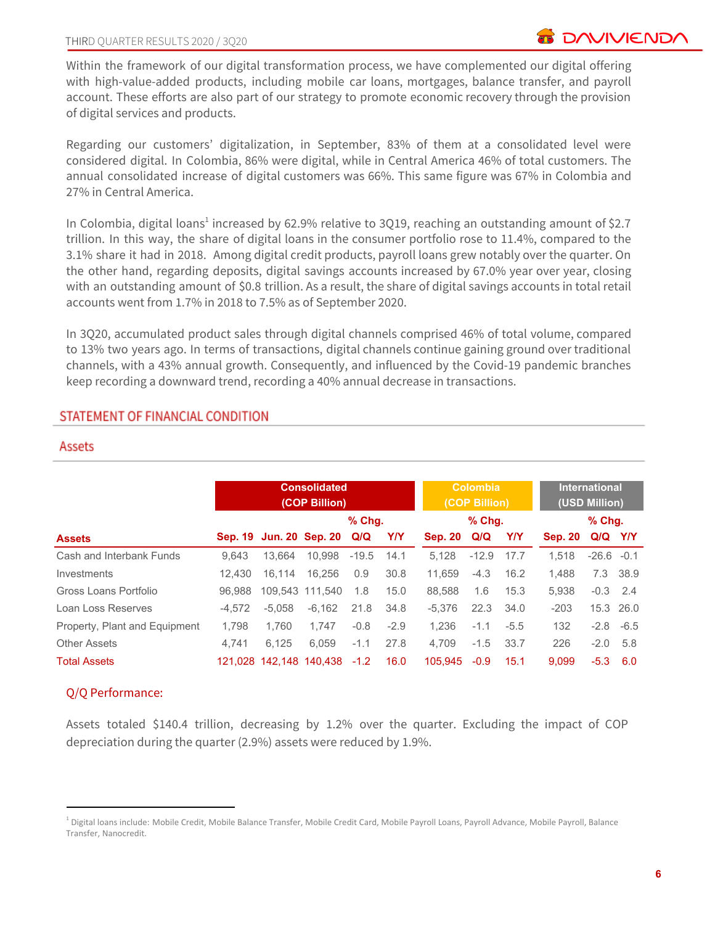Within the framework of our digital transformation process, we have complemented our digital offering with high-value-added products, including mobile car loans, mortgages, balance transfer, and payroll account. These efforts are also part of our strategy to promote economic recovery through the provision of digital services and products.

Regarding our customers' digitalization, in September, 83% of them at a consolidated level were considered digital. In Colombia, 86% were digital, while in Central America 46% of total customers. The annual consolidated increase of digital customers was 66%. This same figure was 67% in Colombia and 27% in Central America.

In Colombia, digital loans<sup>1</sup> increased by 62.9% relative to 3Q19, reaching an outstanding amount of \$2.7 trillion. In this way, the share of digital loans in the consumer portfolio rose to 11.4%, compared to the 3.1% share it had in 2018. Among digital credit products, payroll loans grew notably over the quarter. On the other hand, regarding deposits, digital savings accounts increased by 67.0% year over year, closing with an outstanding amount of \$0.8 trillion. As a result, the share of digital savings accounts in total retail accounts went from 1.7% in 2018 to 7.5% as of September 2020.

In 3Q20, accumulated product sales through digital channels comprised 46% of total volume, compared to 13% two years ago. In terms of transactions, digital channels continue gaining ground over traditional channels, with a 43% annual growth. Consequently, and influenced by the Covid-19 pandemic branches keep recording a downward trend, recording a 40% annual decrease in transactions.

# STATEMENT OF FINANCIAL CONDITION

### Assets

|                               |          |          | <b>Consolidated</b><br>(COP Billion) |          |        | <b>Colombia</b><br>(COP Billion) |         |        | <b>International</b><br>(USD Million) |               |          |
|-------------------------------|----------|----------|--------------------------------------|----------|--------|----------------------------------|---------|--------|---------------------------------------|---------------|----------|
|                               |          |          |                                      | $%$ Chq. |        |                                  | % Chg.  |        |                                       | $%$ Chq.      |          |
| <b>Assets</b>                 |          |          | Sep. 19 Jun. 20 Sep. 20 Q/Q          |          | Y/Y    | <b>Sep. 20</b>                   | Q/Q     | YN     | <b>Sep. 20</b>                        | Q/Q Y/Y       |          |
| Cash and Interbank Funds      | 9.643    | 13.664   | 10.998                               | $-19.5$  | 14.1   | 5.128                            | $-12.9$ | 17.7   | 1.518                                 | $-26.6 - 0.1$ |          |
| Investments                   | 12.430   | 16.114   | 16.256                               | 0.9      | 30.8   | 11.659                           | $-4.3$  | 16.2   | 1.488                                 |               | 7.3 38.9 |
| Gross Loans Portfolio         | 96.988   |          | 109.543 111.540                      | 1.8      | 15.0   | 88.588                           | 1.6     | 15.3   | 5.938                                 | $-0.3$ 2.4    |          |
| Loan Loss Reserves            | $-4.572$ | $-5.058$ | $-6.162$                             | 21.8     | 34.8   | -5.376                           | 22.3    | 34.0   | $-203$                                | 15.3 26.0     |          |
| Property, Plant and Equipment | 1.798    | 1.760    | 1.747                                | $-0.8$   | $-2.9$ | 1.236                            | $-1.1$  | $-5.5$ | 132                                   | $-2.8 - 6.5$  |          |
| <b>Other Assets</b>           | 4.741    | 6.125    | 6.059                                | $-1.1$   | 27.8   | 4.709                            | $-1.5$  | 33.7   | 226                                   | $-2.0$        | 5.8      |
| <b>Total Assets</b>           |          |          | 121,028 142,148 140,438              | $-1.2$   | 16.0   | 105.945                          | $-0.9$  | 15.1   | 9.099                                 | $-5.3$        | 6.0      |

### Q/Q Performance:

Assets totaled \$140.4 trillion, decreasing by 1.2% over the quarter. Excluding the impact of COP depreciation during the quarter (2.9%) assets were reduced by 1.9%.

<sup>&</sup>lt;sup>1</sup> Digital loans include: Mobile Credit, Mobile Balance Transfer, Mobile Credit Card, Mobile Payroll Loans, Payroll Advance, Mobile Payroll, Balance Transfer, Nanocredit.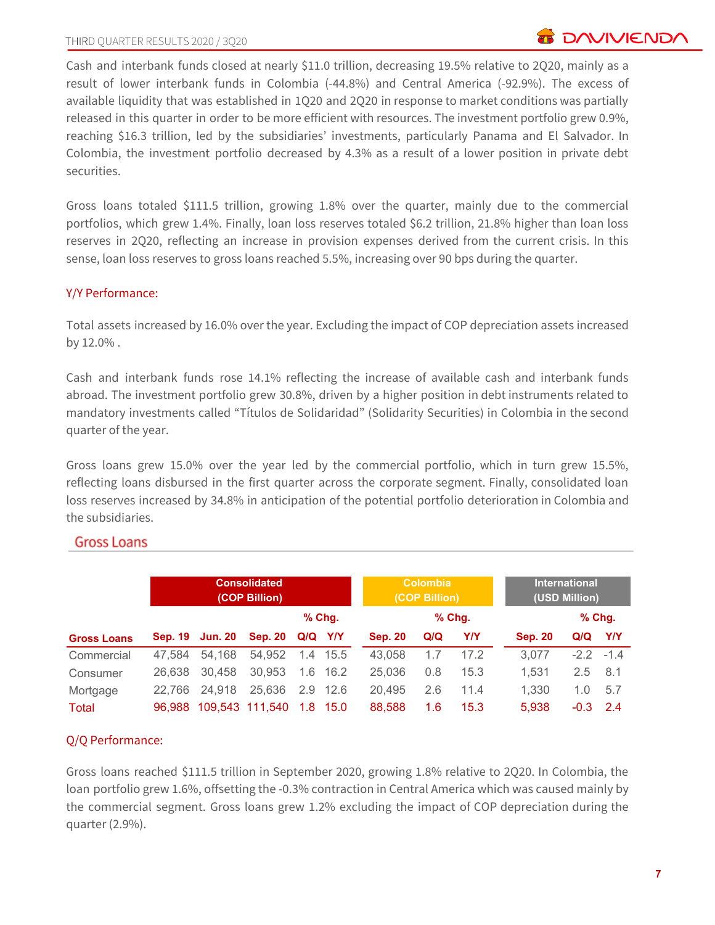Cash and interbank funds closed at nearly \$11.0 trillion, decreasing 19.5% relative to 2Q20, mainly as a result of lower interbank funds in Colombia (-44.8%) and Central America (-92.9%). The excess of available liquidity that was established in 1Q20 and 2Q20 in response to market conditions was partially released in this quarter in order to be more efficient with resources. The investment portfolio grew 0.9%, reaching \$16.3 trillion, led by the subsidiaries' investments, particularly Panama and El Salvador. In Colombia, the investment portfolio decreased by 4.3% as a result of a lower position in private debt securities.

Gross loans totaled \$111.5 trillion, growing 1.8% over the quarter, mainly due to the commercial portfolios, which grew 1.4%. Finally, loan loss reserves totaled \$6.2 trillion, 21.8% higher than loan loss reserves in 2Q20, reflecting an increase in provision expenses derived from the current crisis. In this sense, loan loss reserves to gross loans reached 5.5%, increasing over 90 bps during the quarter.

# Y/Y Performance:

Total assets increased by 16.0% over the year. Excluding the impact of COP depreciation assets increased by 12.0% .

Cash and interbank funds rose 14.1% reflecting the increase of available cash and interbank funds abroad. The investment portfolio grew 30.8%, driven by a higher position in debt instruments related to mandatory investments called "Títulos de Solidaridad" (Solidarity Securities) in Colombia in the second quarter of the year.

Gross loans grew 15.0% over the year led by the commercial portfolio, which in turn grew 15.5%, reflecting loans disbursed in the first quarter across the corporate segment. Finally, consolidated loan loss reserves increased by 34.8% in anticipation of the potential portfolio deterioration in Colombia and the subsidiaries.

# **Gross Loans**

|                    | <b>Consolidated</b><br>(COP Billion) |                 |                 |         |          |                | <b>Colombia</b><br>(COP Billion) |            | <b>International</b><br>(USD Million) |          |             |
|--------------------|--------------------------------------|-----------------|-----------------|---------|----------|----------------|----------------------------------|------------|---------------------------------------|----------|-------------|
|                    |                                      |                 |                 |         | $%$ Chg. |                |                                  | $%$ Chg.   |                                       | $%$ Chg. |             |
| <b>Gross Loans</b> |                                      | Sep. 19 Jun. 20 | <b>Sep. 20</b>  | Q/Q Y/Y |          | <b>Sep. 20</b> | Q/Q                              | <b>Y/Y</b> | <b>Sep. 20</b>                        | Q/Q      | Y/Y         |
| Commercial         | 47.584                               | 54,168          | 54,952          |         | 1.4 15.5 | 43.058         | 1.7                              | 17.2       | 3,077                                 |          | $-2.2 -1.4$ |
| Consumer           | 26.638                               | 30,458          | 30,953          | 1.6     | - 16.2   | 25,036         | 0.8                              | 15.3       | 1.531                                 | 2.5      | 8.1         |
| Mortgage           | 22.766                               | 24,918          | 25,636          |         | 2.9 12.6 | 20,495         | 2.6                              | 11.4       | 1.330                                 | 1.0      | 5.7         |
| Total              | 96.988                               |                 | 109.543 111.540 |         | 1.8 15.0 | 88,588         | 1.6                              | 15.3       | 5.938                                 | $-0.3$   | 2.4         |

# Q/Q Performance:

Gross loans reached \$111.5 trillion in September 2020, growing 1.8% relative to 2Q20. In Colombia, the loan portfolio grew 1.6%, offsetting the -0.3% contraction in Central America which was caused mainly by the commercial segment. Gross loans grew 1.2% excluding the impact of COP depreciation during the quarter (2.9%).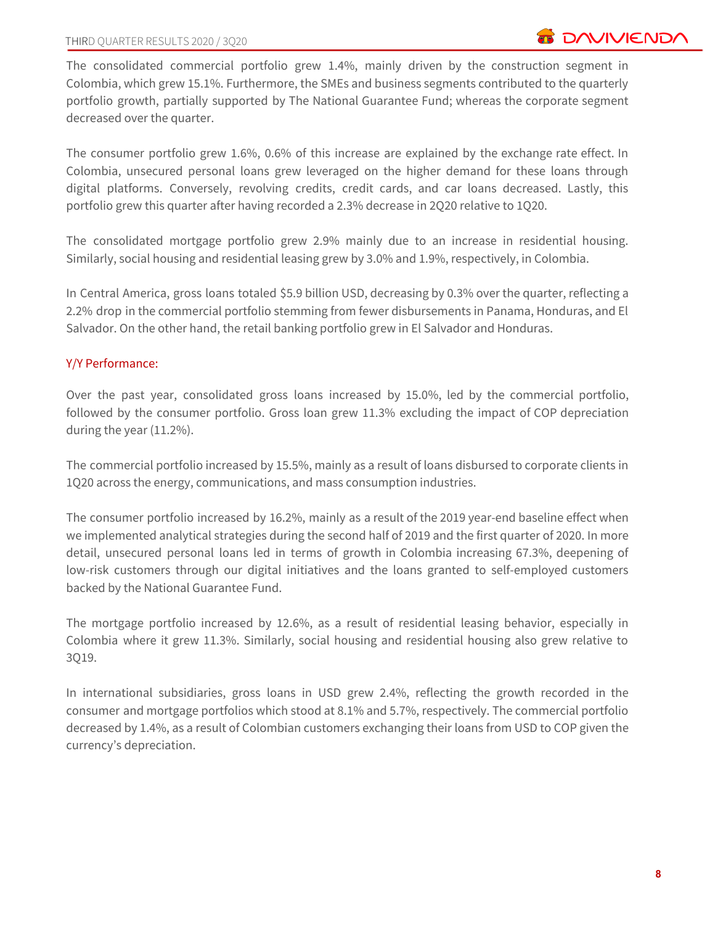The consolidated commercial portfolio grew 1.4%, mainly driven by the construction segment in Colombia, which grew 15.1%. Furthermore, the SMEs and business segments contributed to the quarterly portfolio growth, partially supported by The National Guarantee Fund; whereas the corporate segment decreased over the quarter.

The consumer portfolio grew 1.6%, 0.6% of this increase are explained by the exchange rate effect. In Colombia, unsecured personal loans grew leveraged on the higher demand for these loans through digital platforms. Conversely, revolving credits, credit cards, and car loans decreased. Lastly, this portfolio grew this quarter after having recorded a 2.3% decrease in 2Q20 relative to 1Q20.

The consolidated mortgage portfolio grew 2.9% mainly due to an increase in residential housing. Similarly, social housing and residential leasing grew by 3.0% and 1.9%, respectively, in Colombia.

In Central America, gross loans totaled \$5.9 billion USD, decreasing by 0.3% over the quarter, reflecting a 2.2% drop in the commercial portfolio stemming from fewer disbursements in Panama, Honduras, and El Salvador. On the other hand, the retail banking portfolio grew in El Salvador and Honduras.

# Y/Y Performance:

Over the past year, consolidated gross loans increased by 15.0%, led by the commercial portfolio, followed by the consumer portfolio. Gross loan grew 11.3% excluding the impact of COP depreciation during the year (11.2%).

The commercial portfolio increased by 15.5%, mainly as a result of loans disbursed to corporate clients in 1Q20 across the energy, communications, and mass consumption industries.

The consumer portfolio increased by 16.2%, mainly as a result of the 2019 year-end baseline effect when we implemented analytical strategies during the second half of 2019 and the first quarter of 2020. In more detail, unsecured personal loans led in terms of growth in Colombia increasing 67.3%, deepening of low-risk customers through our digital initiatives and the loans granted to self-employed customers backed by the National Guarantee Fund.

The mortgage portfolio increased by 12.6%, as a result of residential leasing behavior, especially in Colombia where it grew 11.3%. Similarly, social housing and residential housing also grew relative to 3Q19.

In international subsidiaries, gross loans in USD grew 2.4%, reflecting the growth recorded in the consumer and mortgage portfolios which stood at 8.1% and 5.7%, respectively. The commercial portfolio decreased by 1.4%, as a result of Colombian customers exchanging their loans from USD to COP given the currency's depreciation.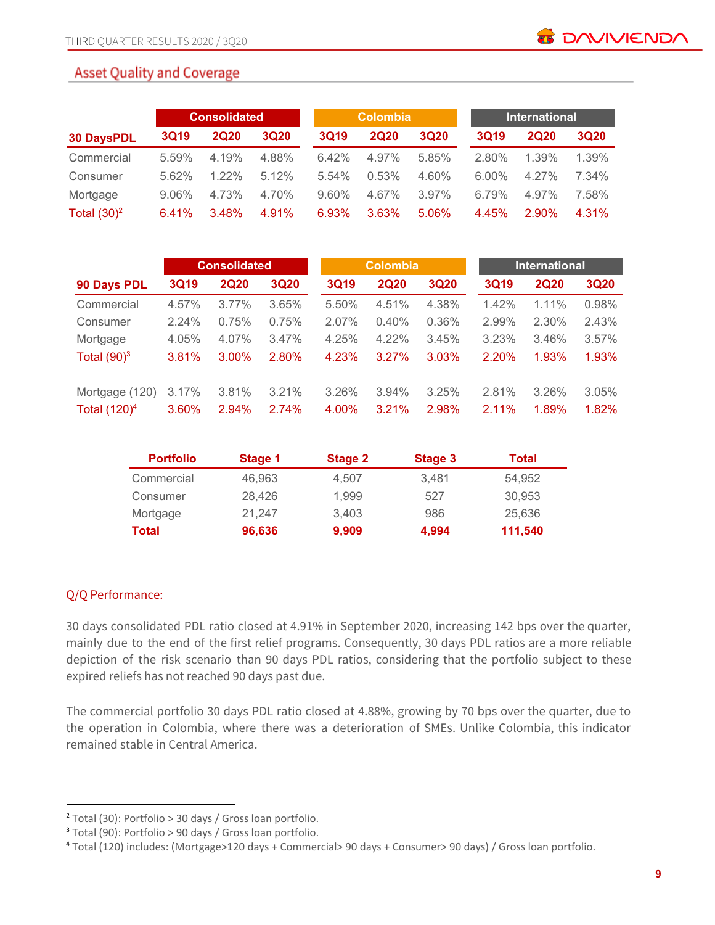# **Asset Quality and Coverage**

|                   |             | <b>Consolidated</b> |             |             | <b>Colombia</b> |             |             | <b>International</b> |             |  |  |
|-------------------|-------------|---------------------|-------------|-------------|-----------------|-------------|-------------|----------------------|-------------|--|--|
| <b>30 DaysPDL</b> | <b>3Q19</b> | <b>2Q20</b>         | <b>3Q20</b> | <b>3Q19</b> | <b>2Q20</b>     | <b>3Q20</b> | <b>3Q19</b> | <b>2Q20</b>          | <b>3Q20</b> |  |  |
| Commercial        | 5.59%       | 4.19%               | 4.88%       | 6.42%       | 4.97%           | 5.85%       | 2.80%       | 1.39%                | 1.39%       |  |  |
| Consumer          | 5.62%       | $1.22\%$            | 5.12%       | 5.54%       | 0.53%           | 4.60%       | $6.00\%$    | 4.27%                | 7.34%       |  |  |
| Mortgage          | 9.06%       | 4.73%               | 4.70%       | 9.60%       | 4.67%           | 3.97%       | 6.79%       | 4.97%                | 7.58%       |  |  |
| Total $(30)^2$    | 6.41%       | 3.48%               | 4.91%       | 6.93%       | 3.63%           | 5.06%       | 4.45%       | 2.90%                | 4.31%       |  |  |

|                 |             | <b>Consolidated</b> |             |             | <b>Colombia</b> |       |             | <b>International</b> |             |  |  |
|-----------------|-------------|---------------------|-------------|-------------|-----------------|-------|-------------|----------------------|-------------|--|--|
| 90 Days PDL     | <b>3Q19</b> | <b>2Q20</b>         | <b>3Q20</b> | <b>3Q19</b> | <b>2Q20</b>     | 3Q20  | <b>3Q19</b> | <b>2Q20</b>          | <b>3Q20</b> |  |  |
| Commercial      | 4.57%       | $3.77\%$            | 3.65%       | 5.50%       | 4.51%           | 4.38% | 1.42%       | 1.11%                | 0.98%       |  |  |
| Consumer        | 2.24%       | 0.75%               | 0.75%       | 2.07%       | 0.40%           | 0.36% | 2.99%       | 2.30%                | 2.43%       |  |  |
| Mortgage        | 4.05%       | 4.07%               | 3.47%       | 4.25%       | $4.22\%$        | 3.45% | 3.23%       | 3.46%                | 3.57%       |  |  |
| Total $(90)^3$  | 3.81%       | $3.00\%$            | 2.80%       | 4.23%       | 3.27%           | 3.03% | 2.20%       | 1.93%                | 1.93%       |  |  |
| Mortgage (120)  | 3.17%       | 3.81%               | 3.21%       | 3.26%       | 3.94%           | 3.25% | 2.81%       | 3.26%                | 3.05%       |  |  |
| Total $(120)^4$ | 3.60%       | 2.94%               | 2.74%       | 4.00%       | 3.21%           | 2.98% | 2.11%       | 1.89%                | 1.82%       |  |  |

| <b>Portfolio</b> | Stage 1 | <b>Stage 2</b> | Stage 3 | Total   |
|------------------|---------|----------------|---------|---------|
| Commercial       | 46.963  | 4.507          | 3.481   | 54.952  |
| Consumer         | 28.426  | 1.999          | 527     | 30.953  |
| Mortgage         | 21.247  | 3.403          | 986     | 25.636  |
| Total            | 96,636  | 9,909          | 4,994   | 111,540 |

# Q/Q Performance:

30 days consolidated PDL ratio closed at 4.91% in September 2020, increasing 142 bps over the quarter, mainly due to the end of the first relief programs. Consequently, 30 days PDL ratios are a more reliable depiction of the risk scenario than 90 days PDL ratios, considering that the portfolio subject to these expired reliefs has not reached 90 days past due.

The commercial portfolio 30 days PDL ratio closed at 4.88%, growing by 70 bps over the quarter, due to the operation in Colombia, where there was a deterioration of SMEs. Unlike Colombia, this indicator remained stable in Central America.

<sup>2</sup> Total (30): Portfolio > 30 days / Gross loan portfolio.

<sup>3</sup> Total (90): Portfolio > 90 days / Gross loan portfolio.

<sup>4</sup> Total (120) includes: (Mortgage>120 days + Commercial> 90 days + Consumer> 90 days) / Gross loan portfolio.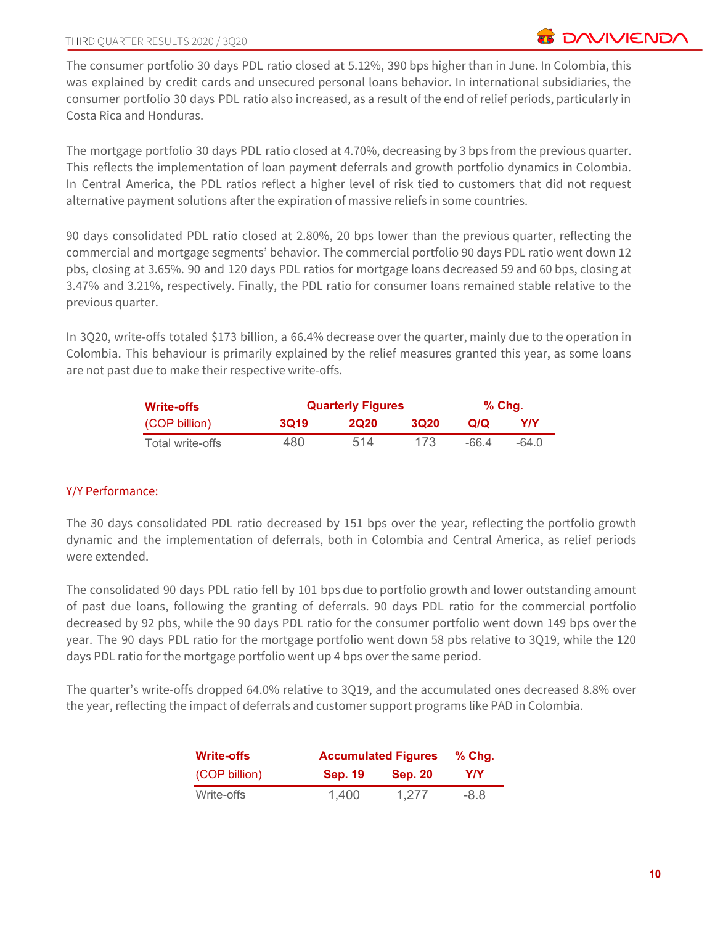The consumer portfolio 30 days PDL ratio closed at 5.12%, 390 bps higher than in June. In Colombia, this was explained by credit cards and unsecured personal loans behavior. In international subsidiaries, the consumer portfolio 30 days PDL ratio also increased, as a result of the end of relief periods, particularly in Costa Rica and Honduras.

The mortgage portfolio 30 days PDL ratio closed at 4.70%, decreasing by 3 bps from the previous quarter. This reflects the implementation of loan payment deferrals and growth portfolio dynamics in Colombia. In Central America, the PDL ratios reflect a higher level of risk tied to customers that did not request alternative payment solutions after the expiration of massive reliefs in some countries.

90 days consolidated PDL ratio closed at 2.80%, 20 bps lower than the previous quarter, reflecting the commercial and mortgage segments' behavior. The commercial portfolio 90 days PDL ratio went down 12 pbs, closing at 3.65%. 90 and 120 days PDL ratios for mortgage loans decreased 59 and 60 bps, closing at 3.47% and 3.21%, respectively. Finally, the PDL ratio for consumer loans remained stable relative to the previous quarter.

In 3Q20, write-offs totaled \$173 billion, a 66.4% decrease over the quarter, mainly due to the operation in Colombia. This behaviour is primarily explained by the relief measures granted this year, as some loans are not past due to make their respective write-offs.

| <b>Write-offs</b> | <b>Quarterly Figures</b> | % Chq.      |             |       |       |
|-------------------|--------------------------|-------------|-------------|-------|-------|
| (COP billion)     | <b>3019</b>              | <b>2Q20</b> | <b>3Q20</b> | Q/Q   | Y/Y   |
| Total write-offs  | 480                      | 514         | 173         | -66 4 | -64 0 |

# Y/Y Performance:

The 30 days consolidated PDL ratio decreased by 151 bps over the year, reflecting the portfolio growth dynamic and the implementation of deferrals, both in Colombia and Central America, as relief periods were extended.

The consolidated 90 days PDL ratio fell by 101 bps due to portfolio growth and lower outstanding amount of past due loans, following the granting of deferrals. 90 days PDL ratio for the commercial portfolio decreased by 92 pbs, while the 90 days PDL ratio for the consumer portfolio went down 149 bps over the year. The 90 days PDL ratio for the mortgage portfolio went down 58 pbs relative to 3Q19, while the 120 days PDL ratio for the mortgage portfolio went up 4 bps over the same period.

The quarter's write-offs dropped 64.0% relative to 3Q19, and the accumulated ones decreased 8.8% over the year, reflecting the impact of deferrals and customer support programs like PAD in Colombia.

| <b>Write-offs</b> | <b>Accumulated Figures</b> | $%$ Chg.       |      |
|-------------------|----------------------------|----------------|------|
| (COP billion)     | <b>Sep. 19</b>             | <b>Sep. 20</b> | Y/Y  |
| Write-offs        | 1.400                      | 1,277          | -8.8 |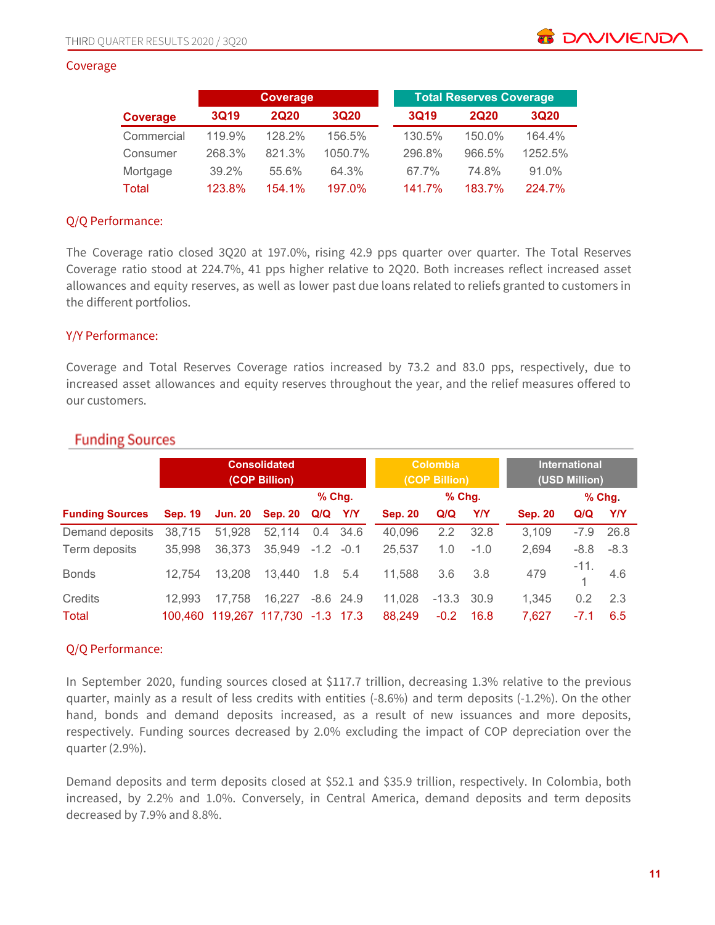#### Coverage

|              |             | Coverage    |             |             | <b>Total Reserves Coverage</b> |             |  |  |
|--------------|-------------|-------------|-------------|-------------|--------------------------------|-------------|--|--|
| Coverage     | <b>3Q19</b> | <b>2Q20</b> | <b>3Q20</b> | <b>3Q19</b> | <b>2Q20</b>                    | <b>3Q20</b> |  |  |
| Commercial   | 119.9%      | 128.2%      | 156.5%      | 130.5%      | 150.0%                         | 164.4%      |  |  |
| Consumer     | 268.3%      | 821.3%      | 1050.7%     | 296.8%      | 966.5%                         | 1252.5%     |  |  |
| Mortgage     | 39.2%       | 55.6%       | 64.3%       | 67.7%       | 74.8%                          | 91.0%       |  |  |
| <b>Total</b> | 123.8%      | 154.1%      | 197.0%      | 141.7%      | 183.7%                         | 224.7%      |  |  |

### Q/Q Performance:

The Coverage ratio closed 3Q20 at 197.0%, rising 42.9 pps quarter over quarter. The Total Reserves Coverage ratio stood at 224.7%, 41 pps higher relative to 2Q20. Both increases reflect increased asset allowances and equity reserves, as well as lower past due loans related to reliefs granted to customers in the different portfolios.

### Y/Y Performance:

Coverage and Total Reserves Coverage ratios increased by 73.2 and 83.0 pps, respectively, due to increased asset allowances and equity reserves throughout the year, and the relief measures offered to our customers.

|                        |                | <b>Consolidated</b><br>(COP Billion) |                                   |        |             |                | <b>Colombia</b><br>(COP Billion) |            |                | <b>International</b><br>(USD Million) |            |  |
|------------------------|----------------|--------------------------------------|-----------------------------------|--------|-------------|----------------|----------------------------------|------------|----------------|---------------------------------------|------------|--|
|                        |                |                                      |                                   |        | $%$ Chq.    |                | % Chg.                           |            |                |                                       | $%$ Chg.   |  |
| <b>Funding Sources</b> | <b>Sep. 19</b> | <b>Jun. 20</b>                       | <b>Sep. 20</b>                    | Q/Q    | <b>Y/Y</b>  | <b>Sep. 20</b> | Q/Q                              | <b>Y/Y</b> | <b>Sep. 20</b> | Q/Q                                   | <b>Y/Y</b> |  |
| Demand deposits        | 38,715         | 51,928                               | 52,114                            | 0.4    | 34.6        | 40,096         | 2.2                              | 32.8       | 3,109          | $-7.9$                                | 26.8       |  |
| Term deposits          | 35,998         | 36,373                               | 35,949                            | $-1.2$ | $-0.1$      | 25,537         | 1.0                              | $-1.0$     | 2,694          | $-8.8$                                | $-8.3$     |  |
| <b>Bonds</b>           | 12,754         | 13,208                               | 13.440                            | 1.8    | 5.4         | 11,588         | 3.6                              | 3.8        | 479            | $-11.$                                | 4.6        |  |
| Credits                | 12.993         | 17,758                               | 16,227                            |        | $-8.6$ 24.9 | 11.028         | $-13.3$                          | 30.9       | 1,345          | 0.2                                   | 2.3        |  |
| <b>Total</b>           |                |                                      | 100,460 119,267 117,730 -1.3 17.3 |        |             | 88,249         | $-0.2$                           | 16.8       | 7,627          | $-7.1$                                | 6.5        |  |

# **Funding Sources**

# Q/Q Performance:

In September 2020, funding sources closed at \$117.7 trillion, decreasing 1.3% relative to the previous quarter, mainly as a result of less credits with entities (-8.6%) and term deposits (-1.2%). On the other hand, bonds and demand deposits increased, as a result of new issuances and more deposits, respectively. Funding sources decreased by 2.0% excluding the impact of COP depreciation over the quarter (2.9%).

Demand deposits and term deposits closed at \$52.1 and \$35.9 trillion, respectively. In Colombia, both increased, by 2.2% and 1.0%. Conversely, in Central America, demand deposits and term deposits decreased by 7.9% and 8.8%.

**BE DAVIVIEND**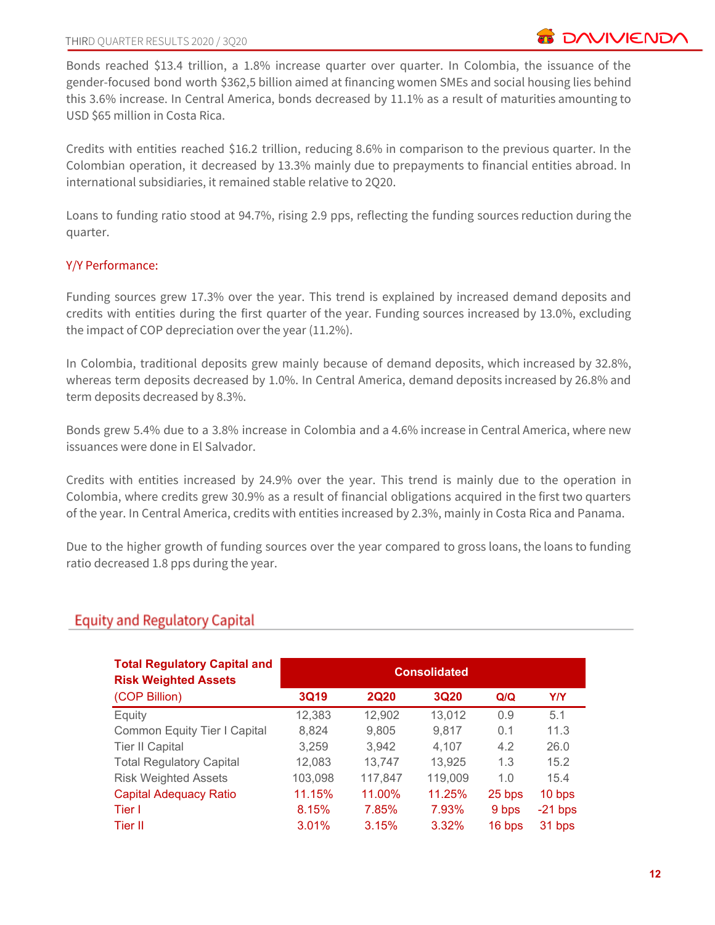Bonds reached \$13.4 trillion, a 1.8% increase quarter over quarter. In Colombia, the issuance of the gender-focused bond worth \$362,5 billion aimed at financing women SMEs and social housing lies behind this 3.6% increase. In Central America, bonds decreased by 11.1% as a result of maturities amounting to USD \$65 million in Costa Rica.

Credits with entities reached \$16.2 trillion, reducing 8.6% in comparison to the previous quarter. In the Colombian operation, it decreased by 13.3% mainly due to prepayments to financial entities abroad. In international subsidiaries, it remained stable relative to 2Q20.

Loans to funding ratio stood at 94.7%, rising 2.9 pps, reflecting the funding sources reduction during the quarter.

# Y/Y Performance:

Funding sources grew 17.3% over the year. This trend is explained by increased demand deposits and credits with entities during the first quarter of the year. Funding sources increased by 13.0%, excluding the impact of COP depreciation over the year (11.2%).

In Colombia, traditional deposits grew mainly because of demand deposits, which increased by 32.8%, whereas term deposits decreased by 1.0%. In Central America, demand deposits increased by 26.8% and term deposits decreased by 8.3%.

Bonds grew 5.4% due to a 3.8% increase in Colombia and a 4.6% increase in Central America, where new issuances were done in El Salvador.

Credits with entities increased by 24.9% over the year. This trend is mainly due to the operation in Colombia, where credits grew 30.9% as a result of financial obligations acquired in the first two quarters of the year. In Central America, credits with entities increased by 2.3%, mainly in Costa Rica and Panama.

Due to the higher growth of funding sources over the year compared to gross loans, the loans to funding ratio decreased 1.8 pps during the year.

# **Equity and Regulatory Capital**

| <b>Total Regulatory Capital and</b><br><b>Risk Weighted Assets</b> | <b>Consolidated</b> |             |             |        |            |  |  |  |  |
|--------------------------------------------------------------------|---------------------|-------------|-------------|--------|------------|--|--|--|--|
| (COP Billion)                                                      | <b>3Q19</b>         | <b>2Q20</b> | <b>3Q20</b> | Q/Q    | <b>Y/Y</b> |  |  |  |  |
| Equity                                                             | 12,383              | 12,902      | 13,012      | 0.9    | 5.1        |  |  |  |  |
| <b>Common Equity Tier I Capital</b>                                | 8,824               | 9,805       | 9,817       | 0.1    | 11.3       |  |  |  |  |
| <b>Tier II Capital</b>                                             | 3,259               | 3,942       | 4,107       | 4.2    | 26.0       |  |  |  |  |
| <b>Total Regulatory Capital</b>                                    | 12,083              | 13,747      | 13,925      | 1.3    | 15.2       |  |  |  |  |
| <b>Risk Weighted Assets</b>                                        | 103,098             | 117,847     | 119,009     | 1.0    | 15.4       |  |  |  |  |
| <b>Capital Adequacy Ratio</b>                                      | 11.15%              | 11.00%      | 11.25%      | 25 bps | 10 bps     |  |  |  |  |
| Tier I                                                             | 8.15%               | 7.85%       | 7.93%       | 9 bps  | $-21$ bps  |  |  |  |  |
| Tier II                                                            | 3.01%               | 3.15%       | 3.32%       | 16 bps | 31 bps     |  |  |  |  |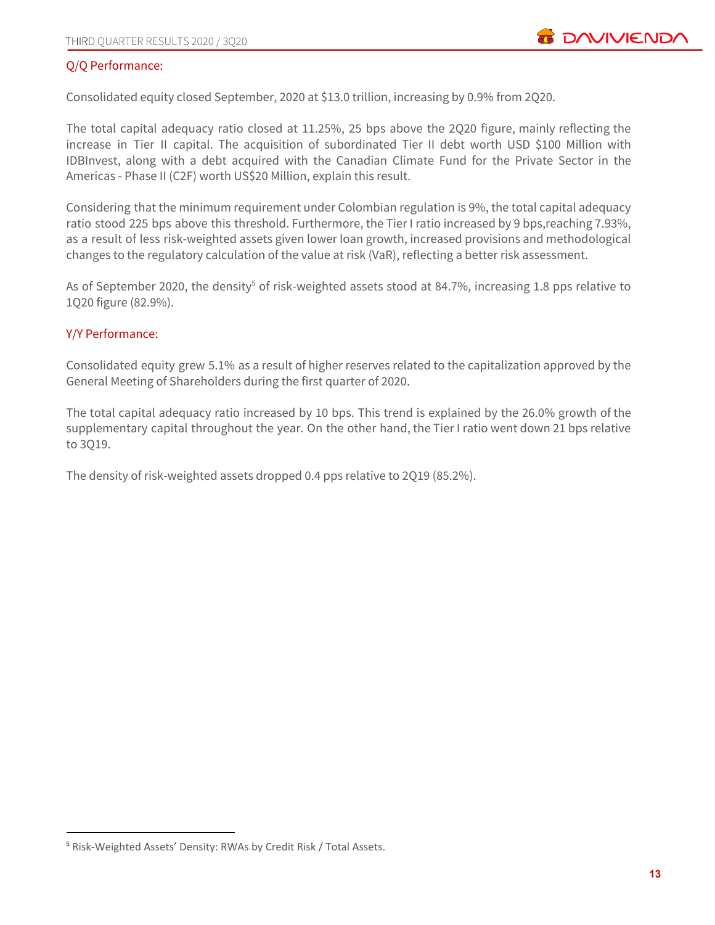# Q/Q Performance:

Consolidated equity closed September, 2020 at \$13.0 trillion, increasing by 0.9% from 2Q20.

The total capital adequacy ratio closed at 11.25%, 25 bps above the 2Q20 figure, mainly reflecting the increase in Tier II capital. The acquisition of subordinated Tier II debt worth USD \$100 Million with IDBInvest, along with a debt acquired with the Canadian Climate Fund for the Private Sector in the Americas - Phase II (C2F) worth US\$20 Million, explain this result.

Considering that the minimum requirement under Colombian regulation is 9%, the total capital adequacy ratio stood 225 bps above this threshold. Furthermore, the Tier I ratio increased by 9 bps, reaching 7.93%, as a result of less risk-weighted assets given lower loan growth, increased provisions and methodological changes to the regulatory calculation of the value at risk (VaR), reflecting a better risk assessment.

As of September 2020, the density<sup>5</sup> of risk-weighted assets stood at 84.7%, increasing 1.8 pps relative to 1Q20 figure (82.9%).

### Y/Y Performance:

Consolidated equity grew 5.1% as a result of higher reserves related to the capitalization approved by the General Meeting of Shareholders during the first quarter of 2020.

The total capital adequacy ratio increased by 10 bps. This trend is explained by the 26.0% growth of the supplementary capital throughout the year. On the other hand, the Tier I ratio went down 21 bps relative to 3Q19.

The density of risk-weighted assets dropped 0.4 pps relative to 2Q19 (85.2%).

<sup>5</sup> Risk-Weighted Assets' Density: RWAs by Credit Risk / Total Assets.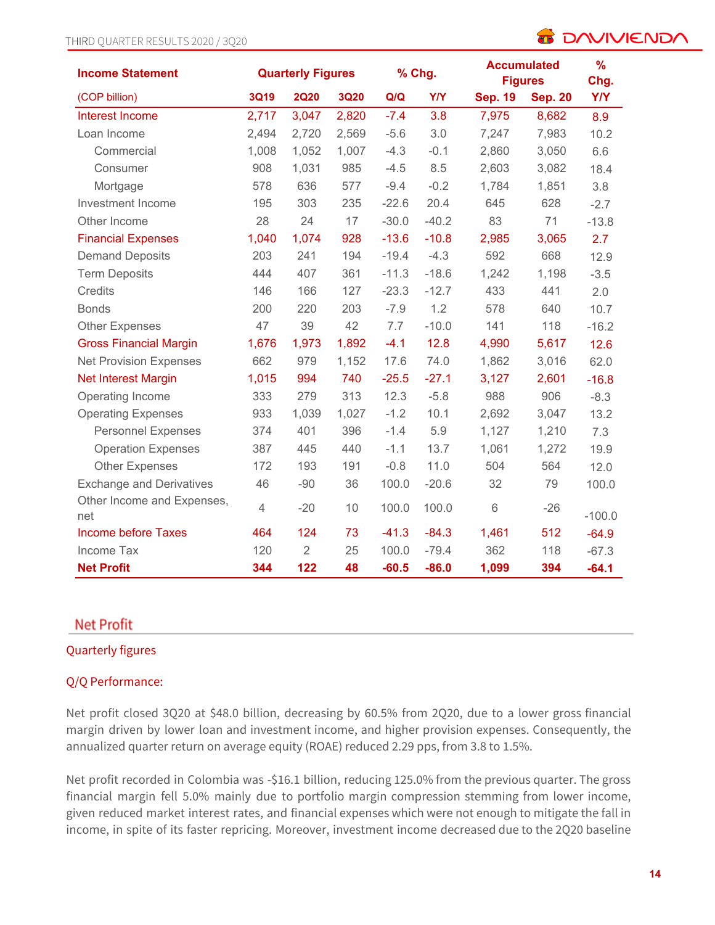| <b>Income Statement</b>           | % Chg.<br><b>Quarterly Figures</b> |                |             | <b>Accumulated</b><br><b>Figures</b> | %<br>Chg.  |                |                |            |
|-----------------------------------|------------------------------------|----------------|-------------|--------------------------------------|------------|----------------|----------------|------------|
| (COP billion)                     | 3Q19                               | <b>2Q20</b>    | <b>3Q20</b> | Q/Q                                  | <b>Y/Y</b> | <b>Sep. 19</b> | <b>Sep. 20</b> | <b>Y/Y</b> |
| Interest Income                   | 2,717                              | 3,047          | 2,820       | $-7.4$                               | 3.8        | 7,975          | 8,682          | 8.9        |
| Loan Income                       | 2,494                              | 2,720          | 2,569       | $-5.6$                               | 3.0        | 7,247          | 7,983          | 10.2       |
| Commercial                        | 1,008                              | 1,052          | 1,007       | $-4.3$                               | $-0.1$     | 2,860          | 3,050          | 6.6        |
| Consumer                          | 908                                | 1,031          | 985         | $-4.5$                               | 8.5        | 2,603          | 3,082          | 18.4       |
| Mortgage                          | 578                                | 636            | 577         | $-9.4$                               | $-0.2$     | 1,784          | 1,851          | 3.8        |
| Investment Income                 | 195                                | 303            | 235         | $-22.6$                              | 20.4       | 645            | 628            | $-2.7$     |
| Other Income                      | 28                                 | 24             | 17          | $-30.0$                              | $-40.2$    | 83             | 71             | $-13.8$    |
| <b>Financial Expenses</b>         | 1,040                              | 1,074          | 928         | $-13.6$                              | $-10.8$    | 2,985          | 3,065          | 2.7        |
| <b>Demand Deposits</b>            | 203                                | 241            | 194         | $-19.4$                              | $-4.3$     | 592            | 668            | 12.9       |
| <b>Term Deposits</b>              | 444                                | 407            | 361         | $-11.3$                              | $-18.6$    | 1,242          | 1,198          | $-3.5$     |
| Credits                           | 146                                | 166            | 127         | $-23.3$                              | $-12.7$    | 433            | 441            | 2.0        |
| <b>Bonds</b>                      | 200                                | 220            | 203         | $-7.9$                               | 1.2        | 578            | 640            | 10.7       |
| <b>Other Expenses</b>             | 47                                 | 39             | 42          | 7.7                                  | $-10.0$    | 141            | 118            | $-16.2$    |
| <b>Gross Financial Margin</b>     | 1,676                              | 1,973          | 1,892       | $-4.1$                               | 12.8       | 4,990          | 5,617          | 12.6       |
| <b>Net Provision Expenses</b>     | 662                                | 979            | 1,152       | 17.6                                 | 74.0       | 1,862          | 3,016          | 62.0       |
| Net Interest Margin               | 1,015                              | 994            | 740         | $-25.5$                              | $-27.1$    | 3,127          | 2,601          | $-16.8$    |
| Operating Income                  | 333                                | 279            | 313         | 12.3                                 | $-5.8$     | 988            | 906            | $-8.3$     |
| <b>Operating Expenses</b>         | 933                                | 1,039          | 1,027       | $-1.2$                               | 10.1       | 2,692          | 3,047          | 13.2       |
| <b>Personnel Expenses</b>         | 374                                | 401            | 396         | $-1.4$                               | 5.9        | 1,127          | 1,210          | 7.3        |
| <b>Operation Expenses</b>         | 387                                | 445            | 440         | $-1.1$                               | 13.7       | 1,061          | 1,272          | 19.9       |
| <b>Other Expenses</b>             | 172                                | 193            | 191         | $-0.8$                               | 11.0       | 504            | 564            | 12.0       |
| <b>Exchange and Derivatives</b>   | 46                                 | $-90$          | 36          | 100.0                                | $-20.6$    | 32             | 79             | 100.0      |
| Other Income and Expenses,<br>net | $\overline{4}$                     | $-20$          | 10          | 100.0                                | 100.0      | 6              | $-26$          | $-100.0$   |
| <b>Income before Taxes</b>        | 464                                | 124            | 73          | $-41.3$                              | $-84.3$    | 1,461          | 512            | $-64.9$    |
| Income Tax                        | 120                                | $\overline{2}$ | 25          | 100.0                                | $-79.4$    | 362            | 118            | $-67.3$    |
| <b>Net Profit</b>                 | 344                                | 122            | 48          | $-60.5$                              | $-86.0$    | 1,099          | 394            | $-64.1$    |

# **Net Profit**

# Quarterly figures

### Q/Q Performance:

Net profit closed 3Q20 at \$48.0 billion, decreasing by 60.5% from 2Q20, due to a lower gross financial margin driven by lower loan and investment income, and higher provision expenses. Consequently, the annualized quarter return on average equity (ROAE) reduced 2.29 pps, from 3.8 to 1.5%.

Net profit recorded in Colombia was -\$16.1 billion, reducing 125.0% from the previous quarter. The gross financial margin fell 5.0% mainly due to portfolio margin compression stemming from lower income, given reduced market interest rates, and financial expenses which were not enough to mitigate the fall in income, in spite of its faster repricing. Moreover, investment income decreased due to the 2Q20 baseline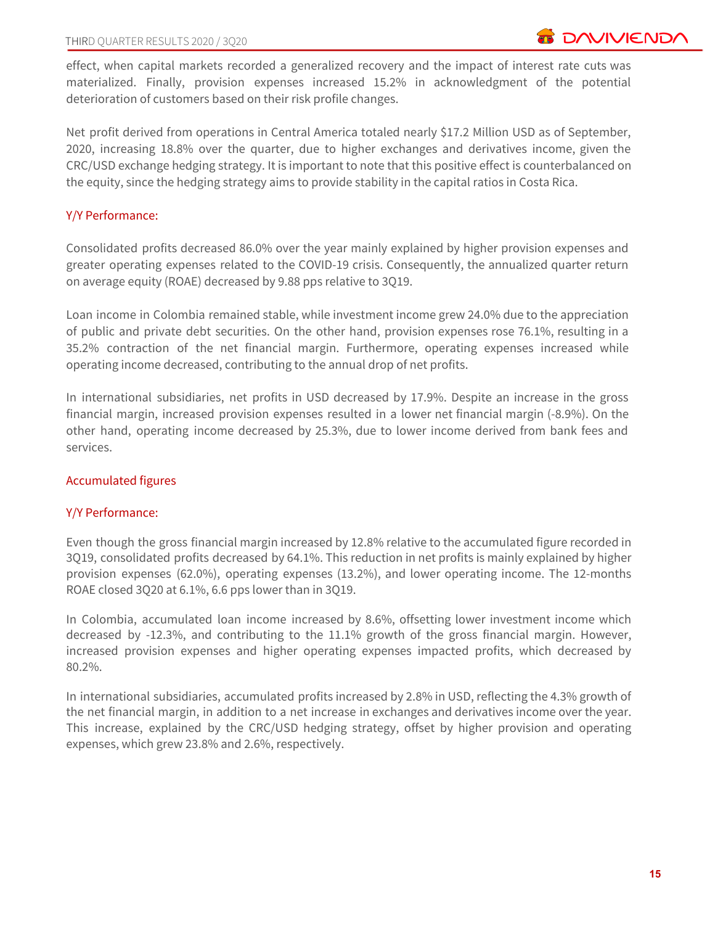effect, when capital markets recorded a generalized recovery and the impact of interest rate cuts was materialized. Finally, provision expenses increased 15.2% in acknowledgment of the potential deterioration of customers based on their risk profile changes.

Net profit derived from operations in Central America totaled nearly \$17.2 Million USD as of September, 2020, increasing 18.8% over the quarter, due to higher exchanges and derivatives income, given the CRC/USD exchange hedging strategy. It is important to note that this positive effect is counterbalanced on the equity, since the hedging strategy aims to provide stability in the capital ratios in Costa Rica.

### Y/Y Performance:

Consolidated profits decreased 86.0% over the year mainly explained by higher provision expenses and greater operating expenses related to the COVID-19 crisis. Consequently, the annualized quarter return on average equity (ROAE) decreased by 9.88 pps relative to 3Q19.

Loan income in Colombia remained stable, while investment income grew 24.0% due to the appreciation of public and private debt securities. On the other hand, provision expenses rose 76.1%, resulting in a 35.2% contraction of the net financial margin. Furthermore, operating expenses increased while operating income decreased, contributing to the annual drop of net profits.

In international subsidiaries, net profits in USD decreased by 17.9%. Despite an increase in the gross financial margin, increased provision expenses resulted in a lower net financial margin (-8.9%). On the other hand, operating income decreased by 25.3%, due to lower income derived from bank fees and services.

### Accumulated figures

### Y/Y Performance:

Even though the gross financial margin increased by 12.8% relative to the accumulated figure recorded in 3Q19, consolidated profits decreased by 64.1%. This reduction in net profits is mainly explained by higher provision expenses (62.0%), operating expenses (13.2%), and lower operating income. The 12-months ROAE closed 3Q20 at 6.1%, 6.6 pps lower than in 3Q19.

In Colombia, accumulated loan income increased by 8.6%, offsetting lower investment income which decreased by -12.3%, and contributing to the 11.1% growth of the gross financial margin. However, increased provision expenses and higher operating expenses impacted profits, which decreased by 80.2%.

In international subsidiaries, accumulated profits increased by 2.8% in USD, reflecting the 4.3% growth of the net financial margin, in addition to a net increase in exchanges and derivatives income over the year. This increase, explained by the CRC/USD hedging strategy, offset by higher provision and operating expenses, which grew 23.8% and 2.6%, respectively.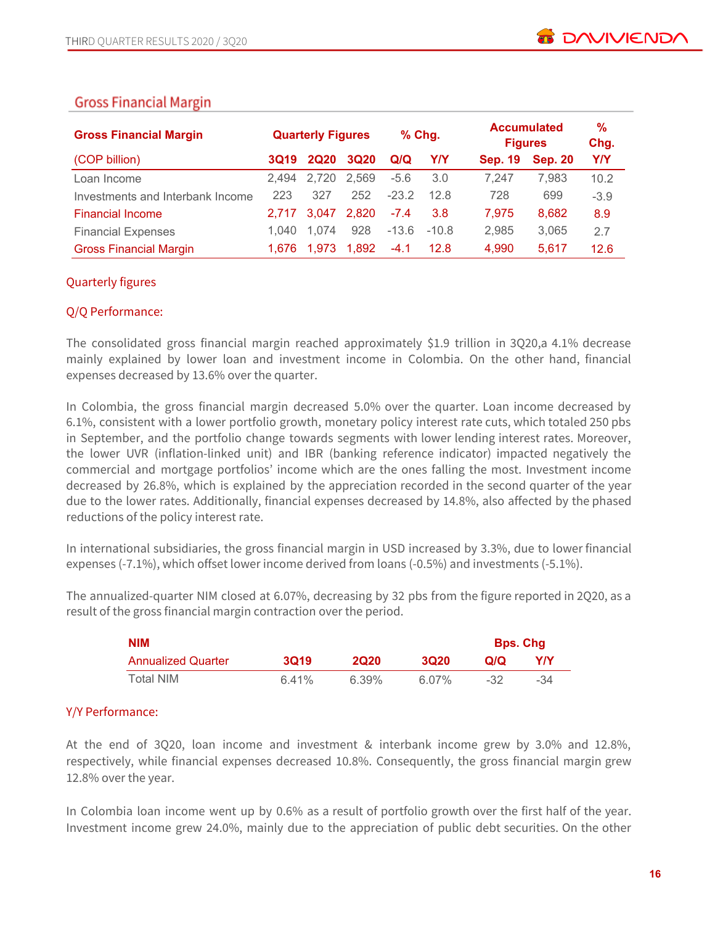# **Gross Financial Margin**

| <b>Gross Financial Margin</b>    |       | <b>Quarterly Figures</b> |             |         | $%$ Chg. |                | <b>Accumulated</b><br><b>Figures</b> | $\%$<br>Chg. |
|----------------------------------|-------|--------------------------|-------------|---------|----------|----------------|--------------------------------------|--------------|
| (COP billion)                    | 3Q19  | <b>2Q20</b>              | <b>3Q20</b> | Q/Q     | Y/Y      | <b>Sep. 19</b> | <b>Sep. 20</b>                       | <b>Y/Y</b>   |
| Loan Income                      | 2.494 | 2.720                    | 2,569       | $-5.6$  | 3.0      | 7.247          | 7.983                                | 10.2         |
| Investments and Interbank Income | 223   | 327                      | 252         | $-232$  | 12.8     | 728            | 699                                  | $-3.9$       |
| <b>Financial Income</b>          | 2.717 | 3.047                    | 2,820       | $-7.4$  | 3.8      | 7,975          | 8,682                                | 8.9          |
| <b>Financial Expenses</b>        | 1.040 | 1.074                    | 928         | $-13.6$ | $-10.8$  | 2,985          | 3,065                                | 2.7          |
| <b>Gross Financial Margin</b>    | 1.676 | 1.973                    | 1.892       | $-4.1$  | 12.8     | 4,990          | 5.617                                | 12.6         |

# Quarterly figures

# Q/Q Performance:

The consolidated gross financial margin reached approximately \$1.9 trillion in 3Q20,a 4.1% decrease mainly explained by lower loan and investment income in Colombia. On the other hand, financial expenses decreased by 13.6% over the quarter.

In Colombia, the gross financial margin decreased 5.0% over the quarter. Loan income decreased by 6.1%, consistent with a lower portfolio growth, monetary policy interest rate cuts, which totaled 250 pbs in September, and the portfolio change towards segments with lower lending interest rates. Moreover, the lower UVR (inflation-linked unit) and IBR (banking reference indicator) impacted negatively the commercial and mortgage portfolios' income which are the ones falling the most. Investment income decreased by 26.8%, which is explained by the appreciation recorded in the second quarter of the year due to the lower rates. Additionally, financial expenses decreased by 14.8%, also affected by the phased reductions of the policy interest rate.

In international subsidiaries, the gross financial margin in USD increased by 3.3%, due to lower financial expenses (-7.1%), which offset lower income derived from loans (-0.5%) and investments (-5.1%).

The annualized-quarter NIM closed at 6.07%, decreasing by 32 pbs from the figure reported in 2Q20, as a result of the gross financial margin contraction over the period.

| <b>NIM</b>                |       |             |             | <b>Bps. Chg</b> |     |
|---------------------------|-------|-------------|-------------|-----------------|-----|
| <b>Annualized Quarter</b> | 3019  | <b>2Q20</b> | <b>3Q20</b> | Q/Q             | Y/Y |
| Total NIM                 | 6.41% | 6.39%       | 6.07%       | -32             | -34 |

# Y/Y Performance:

At the end of 3Q20, loan income and investment & interbank income grew by 3.0% and 12.8%, respectively, while financial expenses decreased 10.8%. Consequently, the gross financial margin grew 12.8% over the year.

In Colombia loan income went up by 0.6% as a result of portfolio growth over the first half of the year. Investment income grew 24.0%, mainly due to the appreciation of public debt securities. On the other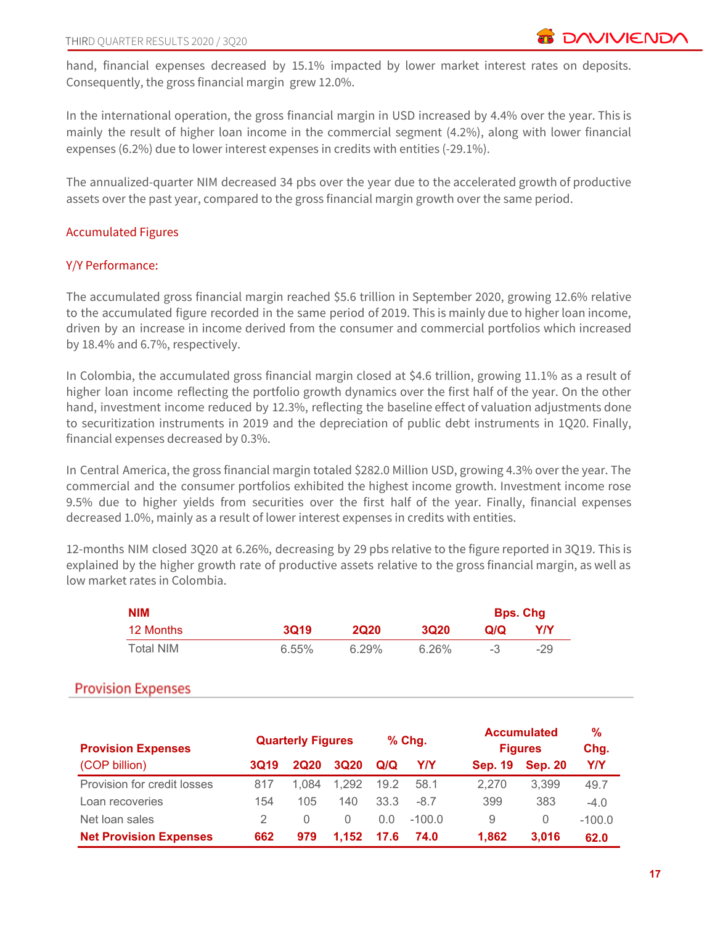hand, financial expenses decreased by 15.1% impacted by lower market interest rates on deposits. Consequently, the gross financial margin grew 12.0%.

In the international operation, the gross financial margin in USD increased by 4.4% over the year. This is mainly the result of higher loan income in the commercial segment (4.2%), along with lower financial expenses (6.2%) due to lower interest expenses in credits with entities (-29.1%).

The annualized-quarter NIM decreased 34 pbs over the year due to the accelerated growth of productive assets over the past year, compared to the gross financial margin growth over the same period.

### Accumulated Figures

### Y/Y Performance:

The accumulated gross financial margin reached \$5.6 trillion in September 2020, growing 12.6% relative to the accumulated figure recorded in the same period of 2019. This is mainly due to higher loan income, driven by an increase in income derived from the consumer and commercial portfolios which increased by 18.4% and 6.7%, respectively.

In Colombia, the accumulated gross financial margin closed at \$4.6 trillion, growing 11.1% as a result of higher loan income reflecting the portfolio growth dynamics over the first half of the year. On the other hand, investment income reduced by 12.3%, reflecting the baseline effect of valuation adjustments done to securitization instruments in 2019 and the depreciation of public debt instruments in 1Q20. Finally, financial expenses decreased by 0.3%.

In Central America, the gross financial margin totaled \$282.0 Million USD, growing 4.3% over the year. The commercial and the consumer portfolios exhibited the highest income growth. Investment income rose 9.5% due to higher yields from securities over the first half of the year. Finally, financial expenses decreased 1.0%, mainly as a result of lower interest expenses in credits with entities.

12-months NIM closed 3Q20 at 6.26%, decreasing by 29 pbs relative to the figure reported in 3Q19. This is explained by the higher growth rate of productive assets relative to the gross financial margin, as well as low market rates in Colombia.

| NIM       |             |             |       |     | <b>Bps. Chg</b> |
|-----------|-------------|-------------|-------|-----|-----------------|
| 12 Months | <b>3Q19</b> | <b>2020</b> | 3020  | Q/Q | Y/Y             |
| Total NIM | $6.55\%$    | $6.29\%$    | 6.26% |     | $-29$           |

# **Provision Expenses**

| <b>Provision Expenses</b>     | $%$ Chg.<br><b>Quarterly Figures</b> |                  | <b>Accumulated</b><br><b>Figures</b> | %<br>Chg. |            |                |                |            |
|-------------------------------|--------------------------------------|------------------|--------------------------------------|-----------|------------|----------------|----------------|------------|
| (COP billion)                 | <b>3Q19</b>                          | <b>2Q20</b>      | <b>3Q20</b>                          | Q/Q       | <b>Y/Y</b> | <b>Sep. 19</b> | <b>Sep. 20</b> | <b>Y/Y</b> |
| Provision for credit losses   | 817                                  | 1.084            | 1.292                                | 19.2      | 58.1       | 2.270          | 3.399          | 49.7       |
| Loan recoveries               | 154                                  | 105              | 140                                  | 33.3      | $-8.7$     | 399            | 383            | $-4.0$     |
| Net loan sales                |                                      | $\left( \right)$ | $\Omega$                             | 0.0       | $-100.0$   | 9              | 0              | $-100.0$   |
| <b>Net Provision Expenses</b> | 662                                  | 979              | 1.152                                | 17.6      | 74.0       | 1.862          | 3.016          | 62.0       |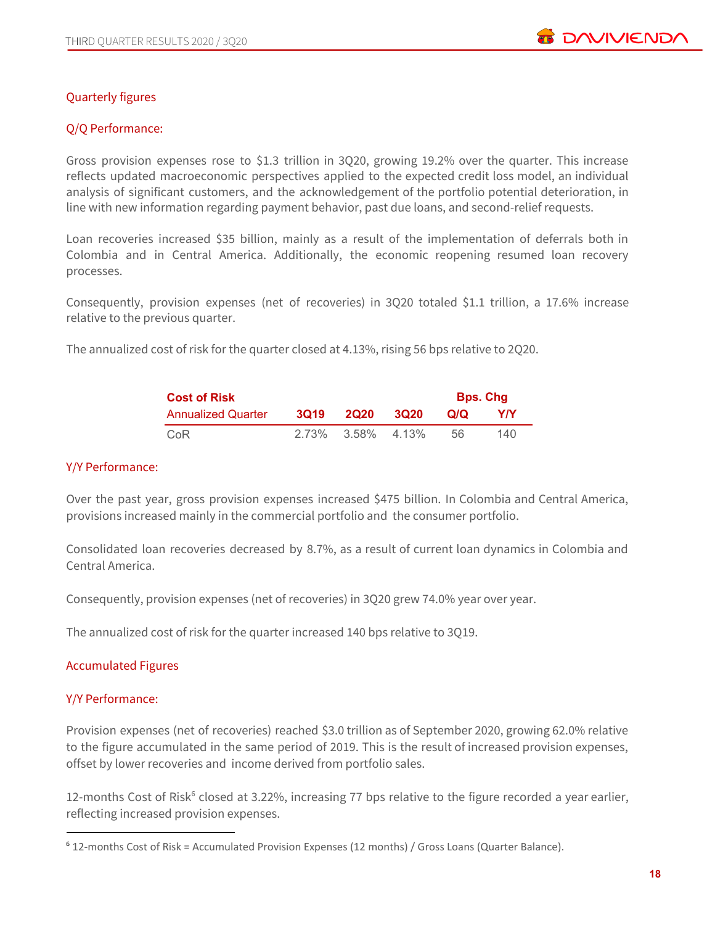

# Quarterly figures

# Q/Q Performance:

Gross provision expenses rose to \$1.3 trillion in 3Q20, growing 19.2% over the quarter. This increase reflects updated macroeconomic perspectives applied to the expected credit loss model, an individual analysis of significant customers, and the acknowledgement of the portfolio potential deterioration, in line with new information regarding payment behavior, past due loans, and second-relief requests.

Loan recoveries increased \$35 billion, mainly as a result of the implementation of deferrals both in Colombia and in Central America. Additionally, the economic reopening resumed loan recovery processes.

Consequently, provision expenses (net of recoveries) in 3Q20 totaled \$1.1 trillion, a 17.6% increase relative to the previous quarter.

The annualized cost of risk for the quarter closed at 4.13%, rising 56 bps relative to 2Q20.

| <b>Cost of Risk</b>       |             | <b>Bps. Chg</b>   |             |     |     |
|---------------------------|-------------|-------------------|-------------|-----|-----|
| <b>Annualized Quarter</b> | <b>3019</b> | 2020              | <b>3020</b> | Q/Q | Y/Y |
| CoR                       |             | 2.73% 3.58% 4.13% |             | .56 | 140 |

#### Y/Y Performance:

Over the past year, gross provision expenses increased \$475 billion. In Colombia and Central America, provisions increased mainly in the commercial portfolio and the consumer portfolio.

Consolidated loan recoveries decreased by 8.7%, as a result of current loan dynamics in Colombia and Central America.

Consequently, provision expenses (net of recoveries) in 3Q20 grew 74.0% year over year.

The annualized cost of risk for the quarter increased 140 bps relative to 3Q19.

### Accumulated Figures

### Y/Y Performance:

Provision expenses (net of recoveries) reached \$3.0 trillion as of September 2020, growing 62.0% relative to the figure accumulated in the same period of 2019. This is the result of increased provision expenses, offset by lower recoveries and income derived from portfolio sales.

12-months Cost of Risk<sup>6</sup> closed at 3.22%, increasing 77 bps relative to the figure recorded a year earlier, reflecting increased provision expenses.

<sup>6</sup> 12-months Cost of Risk = Accumulated Provision Expenses (12 months) / Gross Loans (Quarter Balance).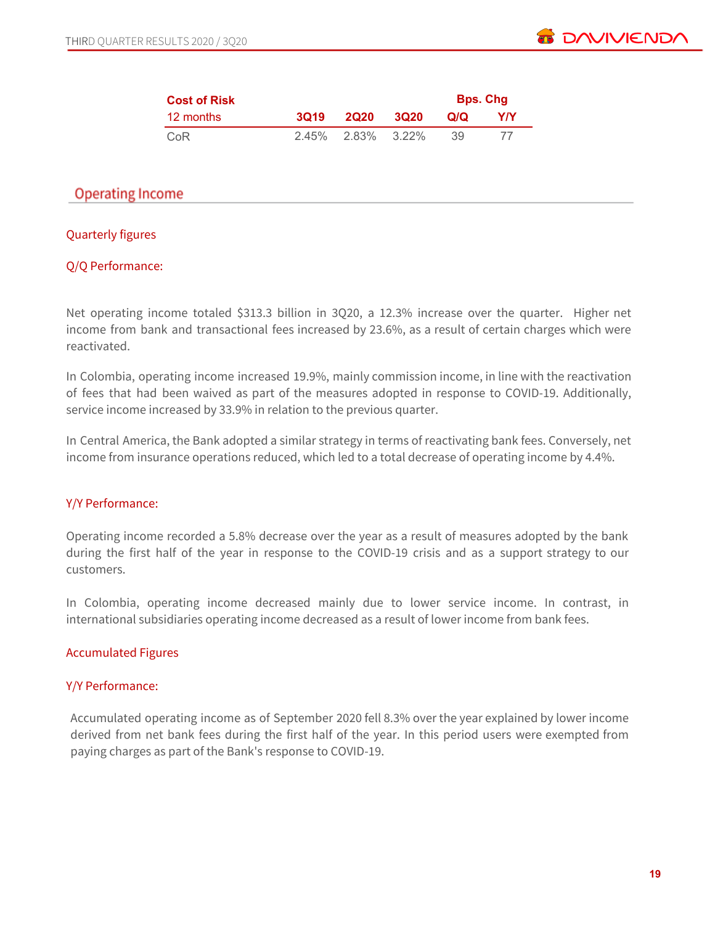| <b>Cost of Risk</b> |             |                   |             |     | <b>Bps. Chg</b> |
|---------------------|-------------|-------------------|-------------|-----|-----------------|
| 12 months           | <b>3019</b> | <b>2020</b>       | <b>3020</b> | Q/Q | YIY             |
| CoR                 |             | 2.45% 2.83% 3.22% |             | 39  |                 |

# **Operating Income**

# Quarterly figures

### Q/Q Performance:

Net operating income totaled \$313.3 billion in 3Q20, a 12.3% increase over the quarter. Higher net income from bank and transactional fees increased by 23.6%, as a result of certain charges which were reactivated.

In Colombia, operating income increased 19.9%, mainly commission income, in line with the reactivation of fees that had been waived as part of the measures adopted in response to COVID-19. Additionally, service income increased by 33.9% in relation to the previous quarter.

In Central America, the Bank adopted a similar strategy in terms of reactivating bank fees. Conversely, net income from insurance operations reduced, which led to a total decrease of operating income by 4.4%.

### Y/Y Performance:

Operating income recorded a 5.8% decrease over the year as a result of measures adopted by the bank during the first half of the year in response to the COVID-19 crisis and as a support strategy to our customers.

In Colombia, operating income decreased mainly due to lower service income. In contrast, in international subsidiaries operating income decreased as a result of lower income from bank fees.

# Accumulated Figures

### Y/Y Performance:

Accumulated operating income as of September 2020 fell 8.3% over the year explained by lower income derived from net bank fees during the first half of the year. In this period users were exempted from paying charges as part of the Bank's response to COVID-19.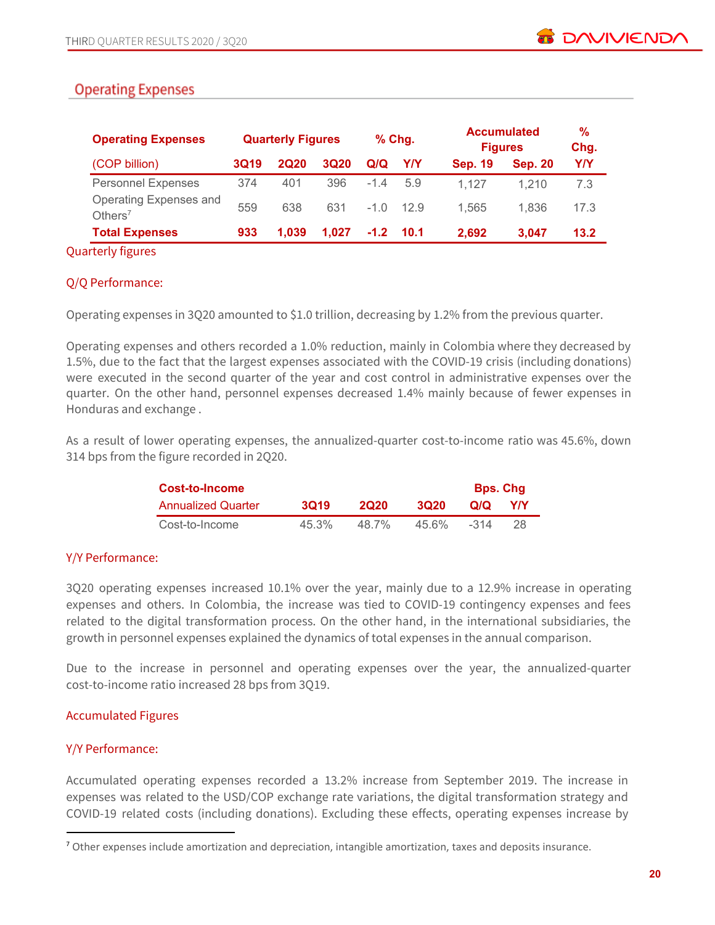# **Operating Expenses**

|             |             |             |                          |      |                    |                | %<br>Chg.                            |
|-------------|-------------|-------------|--------------------------|------|--------------------|----------------|--------------------------------------|
| <b>3Q19</b> | <b>2Q20</b> | <b>3Q20</b> | Q/Q                      | Y/Y  | <b>Sep. 19</b>     | <b>Sep. 20</b> | Y/Y                                  |
| 374         | 401         | 396         | $-1.4$                   | 5.9  | 1.127              | 1.210          | 7.3                                  |
| 559         | 638         | 631         | $-1.0$                   | 12.9 | 1.565              | 1.836          | 17.3                                 |
| 933         | 1.039       | 1.027       |                          | 10.1 | 2.692              | 3.047          | 13.2                                 |
|             |             |             | <b>Quarterly Figures</b> |      | $%$ Chg.<br>$-1.2$ |                | <b>Accumulated</b><br><b>Figures</b> |

### Quarterly figures

# Q/Q Performance:

Operating expenses in 3Q20 amounted to \$1.0 trillion, decreasing by 1.2% from the previous quarter.

Operating expenses and others recorded a 1.0% reduction, mainly in Colombia where they decreased by 1.5%, due to the fact that the largest expenses associated with the COVID-19 crisis (including donations) were executed in the second quarter of the year and cost control in administrative expenses over the quarter. On the other hand, personnel expenses decreased 1.4% mainly because of fewer expenses in Honduras and exchange .

As a result of lower operating expenses, the annualized-quarter cost-to-income ratio was 45.6%, down 314 bps from the figure recorded in 2Q20.

| Cost-to-Income            |          |             |       | <b>Bps. Chg</b> |     |
|---------------------------|----------|-------------|-------|-----------------|-----|
| <b>Annualized Quarter</b> | 3019     | <b>2020</b> | 3020  | Q/Q             | Y/Y |
| Cost-to-Income            | $45.3\%$ | 48.7%       | 45.6% | -314            | 28  |

# Y/Y Performance:

3Q20 operating expenses increased 10.1% over the year, mainly due to a 12.9% increase in operating expenses and others. In Colombia, the increase was tied to COVID-19 contingency expenses and fees related to the digital transformation process. On the other hand, in the international subsidiaries, the growth in personnel expenses explained the dynamics of total expenses in the annual comparison.

Due to the increase in personnel and operating expenses over the year, the annualized-quarter cost-to-income ratio increased 28 bps from 3Q19.

# Accumulated Figures

# Y/Y Performance:

Accumulated operating expenses recorded a 13.2% increase from September 2019. The increase in expenses was related to the USD/COP exchange rate variations, the digital transformation strategy and COVID-19 related costs (including donations). Excluding these effects, operating expenses increase by

<sup>&</sup>lt;sup>7</sup> Other expenses include amortization and depreciation, intangible amortization, taxes and deposits insurance.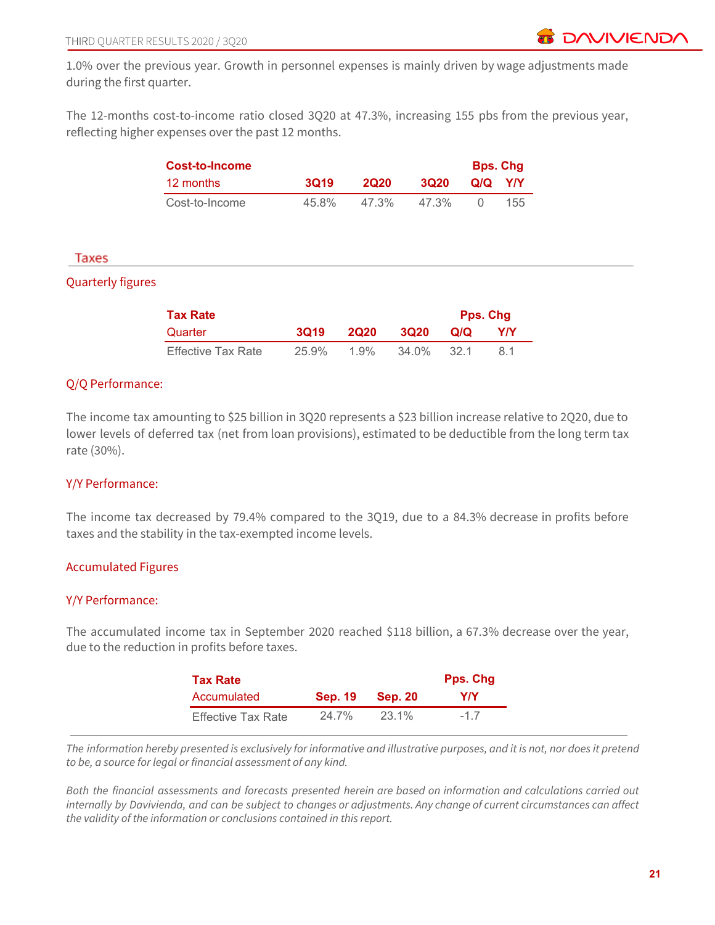1.0% over the previous year. Growth in personnel expenses is mainly driven by wage adjustments made during the first quarter.

The 12-months cost-to-income ratio closed 3Q20 at 47.3%, increasing 155 pbs from the previous year, reflecting higher expenses over the past 12 months.

|                          | <b>Cost-to-Income</b>     |             |             |             |             | <b>Bps. Chg</b> |
|--------------------------|---------------------------|-------------|-------------|-------------|-------------|-----------------|
|                          | 12 months                 | <b>3Q19</b> | <b>2Q20</b> | <b>3Q20</b> | Q/Q         | Y/Y             |
|                          | Cost-to-Income            | 45.8%       | 47.3%       | 47.3%       | $\mathbf 0$ | 155             |
|                          |                           |             |             |             |             |                 |
| Taxes                    |                           |             |             |             |             |                 |
| <b>Quarterly figures</b> |                           |             |             |             |             |                 |
|                          | <b>Tax Rate</b>           |             |             |             |             | Pps. Chg        |
|                          | Quarter                   | <b>3Q19</b> | <b>2Q20</b> | <b>3Q20</b> | Q/Q         | <b>Y/Y</b>      |
|                          | <b>Effective Tax Rate</b> | 25.9%       | 1.9%        | 34.0%       | 32.1        | 8.1             |
|                          |                           |             |             |             |             |                 |

# Q/Q Performance:

The income tax amounting to \$25 billion in 3Q20 represents a \$23 billion increase relative to 2Q20, due to lower levels of deferred tax (net from loan provisions), estimated to be deductible from the long term tax rate (30%).

### Y/Y Performance:

The income tax decreased by 79.4% compared to the 3Q19, due to a 84.3% decrease in profits before taxes and the stability in the tax-exempted income levels.

### Accumulated Figures

### Y/Y Performance:

The accumulated income tax in September 2020 reached \$118 billion, a 67.3% decrease over the year, due to the reduction in profits before taxes.

| <b>Tax Rate</b>           |                |                | Pps. Chg |
|---------------------------|----------------|----------------|----------|
| Accumulated               | <b>Sep. 19</b> | <b>Sep. 20</b> | Y/Y      |
| <b>Effective Tax Rate</b> | $24.7\%$       | 23.1%          | $-17$    |

The information hereby presented is exclusively for informative and illustrative purposes, and it is not, nor does it pretend *to be, a source for legal or financial assessment of any kind.*

Both the financial assessments and forecasts presented herein are based on information and calculations carried out internally by Davivienda, and can be subject to changes or adjustments. Any change of current circumstances can affect *the validity of the information or conclusions contained in this report.*